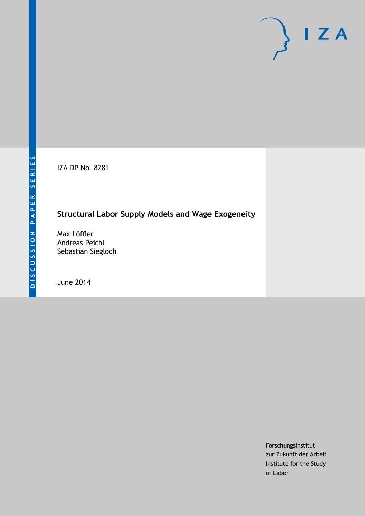IZA DP No. 8281

# **Structural Labor Supply Models and Wage Exogeneity**

Max Löffler Andreas Peichl Sebastian Siegloch

June 2014

Forschungsinstitut zur Zukunft der Arbeit Institute for the Study of Labor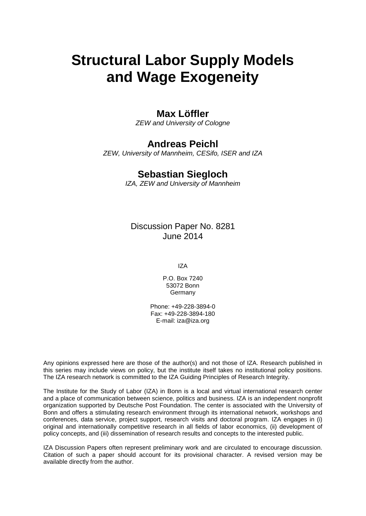# **Structural Labor Supply Models and Wage Exogeneity**

### **Max Löffler**

*ZEW and University of Cologne*

## **Andreas Peichl**

*ZEW, University of Mannheim, CESifo, ISER and IZA*

### **Sebastian Siegloch**

*IZA, ZEW and University of Mannheim*

Discussion Paper No. 8281 June 2014

IZA

P.O. Box 7240 53072 Bonn **Germany** 

Phone: +49-228-3894-0 Fax: +49-228-3894-180 E-mail: [iza@iza.org](mailto:iza@iza.org)

Any opinions expressed here are those of the author(s) and not those of IZA. Research published in this series may include views on policy, but the institute itself takes no institutional policy positions. The IZA research network is committed to the IZA Guiding Principles of Research Integrity.

The Institute for the Study of Labor (IZA) in Bonn is a local and virtual international research center and a place of communication between science, politics and business. IZA is an independent nonprofit organization supported by Deutsche Post Foundation. The center is associated with the University of Bonn and offers a stimulating research environment through its international network, workshops and conferences, data service, project support, research visits and doctoral program. IZA engages in (i) original and internationally competitive research in all fields of labor economics, (ii) development of policy concepts, and (iii) dissemination of research results and concepts to the interested public.

<span id="page-1-0"></span>IZA Discussion Papers often represent preliminary work and are circulated to encourage discussion. Citation of such a paper should account for its provisional character. A revised version may be available directly from the author.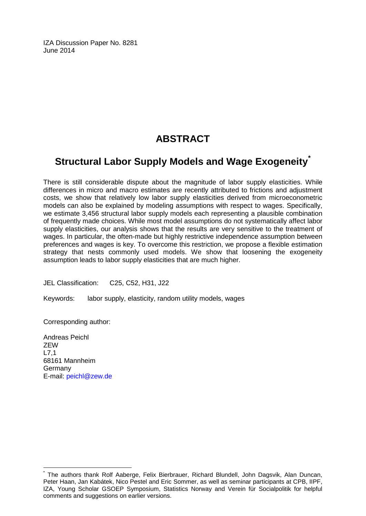IZA Discussion Paper No. 8281 June 2014

# **ABSTRACT**

# **Structural Labor Supply Models and Wage Exogeneity[\\*](#page-1-0)**

There is still considerable dispute about the magnitude of labor supply elasticities. While differences in micro and macro estimates are recently attributed to frictions and adjustment costs, we show that relatively low labor supply elasticities derived from microeconometric models can also be explained by modeling assumptions with respect to wages. Specifically, we estimate 3,456 structural labor supply models each representing a plausible combination of frequently made choices. While most model assumptions do not systematically affect labor supply elasticities, our analysis shows that the results are very sensitive to the treatment of wages. In particular, the often-made but highly restrictive independence assumption between preferences and wages is key. To overcome this restriction, we propose a flexible estimation strategy that nests commonly used models. We show that loosening the exogeneity assumption leads to labor supply elasticities that are much higher.

JEL Classification: C25, C52, H31, J22

Keywords: labor supply, elasticity, random utility models, wages

Corresponding author:

Andreas Peichl ZEW L7,1 68161 Mannheim Germany E-mail: [peichl@zew.de](mailto:peichl@zew.de)

\* The authors thank Rolf Aaberge, Felix Bierbrauer, Richard Blundell, John Dagsvik, Alan Duncan, Peter Haan, Jan Kabátek, Nico Pestel and Eric Sommer, as well as seminar participants at CPB, IIPF, IZA, Young Scholar GSOEP Symposium, Statistics Norway and Verein für Socialpolitik for helpful comments and suggestions on earlier versions.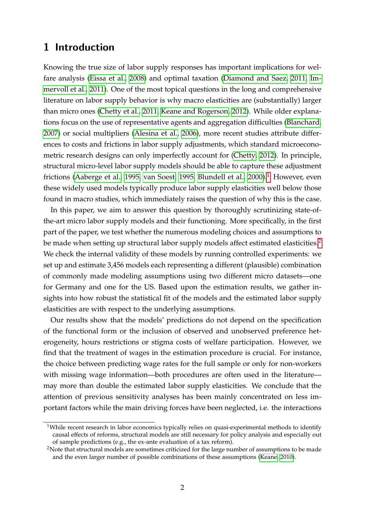# **1 Introduction**

Knowing the true size of labor supply responses has important implications for welfare analysis [\(Eissa et al., 2008\)](#page-28-0) and optimal taxation [\(Diamond and Saez, 2011,](#page-28-1) [Im](#page-29-0)[mervoll et al., 2011\)](#page-29-0). One of the most topical questions in the long and comprehensive literature on labor supply behavior is why macro elasticities are (substantially) larger than micro ones [\(Chetty et al., 2011,](#page-28-2) [Keane and Rogerson, 2012\)](#page-29-1). While older explanations focus on the use of representative agents and aggregation difficulties [\(Blanchard,](#page-27-0) [2007\)](#page-27-0) or social multipliers [\(Alesina et al., 2006\)](#page-27-1), more recent studies attribute differences to costs and frictions in labor supply adjustments, which standard microeconometric research designs can only imperfectly account for [\(Chetty, 2012\)](#page-28-3). In principle, structural micro-level labor supply models should be able to capture these adjustment frictions [\(Aaberge et al., 1995,](#page-27-2) [van Soest, 1995,](#page-30-0) [Blundell et al., 2000\)](#page-27-3).<sup>[1](#page-3-0)</sup> However, even these widely used models typically produce labor supply elasticities well below those found in macro studies, which immediately raises the question of why this is the case.

In this paper, we aim to answer this question by thoroughly scrutinizing state-ofthe-art micro labor supply models and their functioning. More specifically, in the first part of the paper, we test whether the numerous modeling choices and assumptions to be made when setting up structural labor supply models affect estimated elasticities.<sup>[2](#page-3-1)</sup> We check the internal validity of these models by running controlled experiments: we set up and estimate 3,456 models each representing a different (plausible) combination of commonly made modeling assumptions using two different micro datasets—one for Germany and one for the US. Based upon the estimation results, we gather insights into how robust the statistical fit of the models and the estimated labor supply elasticities are with respect to the underlying assumptions.

Our results show that the models' predictions do not depend on the specification of the functional form or the inclusion of observed and unobserved preference heterogeneity, hours restrictions or stigma costs of welfare participation. However, we find that the treatment of wages in the estimation procedure is crucial. For instance, the choice between predicting wage rates for the full sample or only for non-workers with missing wage information—both procedures are often used in the literature may more than double the estimated labor supply elasticities. We conclude that the attention of previous sensitivity analyses has been mainly concentrated on less important factors while the main driving forces have been neglected, i.e. the interactions

<span id="page-3-0"></span><sup>&</sup>lt;sup>1</sup>While recent research in labor economics typically relies on quasi-experimental methods to identify causal effects of reforms, structural models are still necessary for policy analysis and especially out of sample predictions (e.g., the ex-ante evaluation of a tax reform).

<span id="page-3-1"></span><sup>&</sup>lt;sup>2</sup>Note that structural models are sometimes criticized for the large number of assumptions to be made and the even larger number of possible combinations of these assumptions [\(Keane, 2010\)](#page-29-2).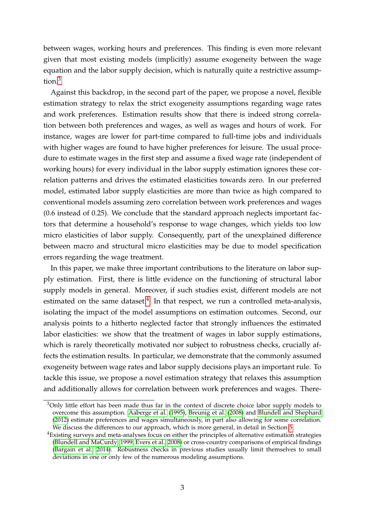between wages, working hours and preferences. This finding is even more relevant given that most existing models (implicitly) assume exogeneity between the wage equation and the labor supply decision, which is naturally quite a restrictive assumption.[3](#page-4-0)

Against this backdrop, in the second part of the paper, we propose a novel, flexible estimation strategy to relax the strict exogeneity assumptions regarding wage rates and work preferences. Estimation results show that there is indeed strong correlation between both preferences and wages, as well as wages and hours of work. For instance, wages are lower for part-time compared to full-time jobs and individuals with higher wages are found to have higher preferences for leisure. The usual procedure to estimate wages in the first step and assume a fixed wage rate (independent of working hours) for every individual in the labor supply estimation ignores these correlation patterns and drives the estimated elasticities towards zero. In our preferred model, estimated labor supply elasticities are more than twice as high compared to conventional models assuming zero correlation between work preferences and wages (0.6 instead of 0.25). We conclude that the standard approach neglects important factors that determine a household's response to wage changes, which yields too low micro elasticities of labor supply. Consequently, part of the unexplained difference between macro and structural micro elasticities may be due to model specification errors regarding the wage treatment.

In this paper, we make three important contributions to the literature on labor supply estimation. First, there is little evidence on the functioning of structural labor supply models in general. Moreover, if such studies exist, different models are not estimated on the same dataset. $<sup>4</sup>$  $<sup>4</sup>$  $<sup>4</sup>$  In that respect, we run a controlled meta-analysis,</sup> isolating the impact of the model assumptions on estimation outcomes. Second, our analysis points to a hitherto neglected factor that strongly influences the estimated labor elasticities: we show that the treatment of wages in labor supply estimations, which is rarely theoretically motivated nor subject to robustness checks, crucially affects the estimation results. In particular, we demonstrate that the commonly assumed exogeneity between wage rates and labor supply decisions plays an important rule. To tackle this issue, we propose a novel estimation strategy that relaxes this assumption and additionally allows for correlation between work preferences and wages. There-

<span id="page-4-0"></span><sup>&</sup>lt;sup>3</sup>Only little effort has been made thus far in the context of discrete choice labor supply models to overcome this assumption. [Aaberge et al.](#page-27-2) [\(1995\)](#page-27-2), [Breunig et al.](#page-28-4) [\(2008\)](#page-28-4) and [Blundell and Shephard](#page-27-4) [\(2012\)](#page-27-4) estimate preferences and wages simultaneously, in part also allowing for some correlation. We discuss the differences to our approach, which is more general, in detail in Section [5.](#page-21-0)

<span id="page-4-1"></span><sup>4</sup>Existing surveys and meta-analyses focus on either the principles of alternative estimation strategies [\(Blundell and MaCurdy, 1999,](#page-27-5) [Evers et al., 2008\)](#page-28-5) or cross-country comparisons of empirical findings [\(Bargain et al., 2014\)](#page-27-6). Robustness checks in previous studies usually limit themselves to small deviations in one or only few of the numerous modeling assumptions.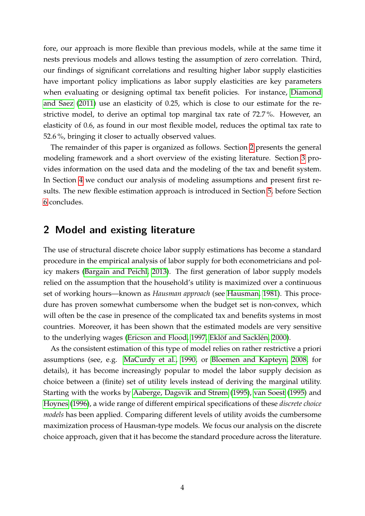fore, our approach is more flexible than previous models, while at the same time it nests previous models and allows testing the assumption of zero correlation. Third, our findings of significant correlations and resulting higher labor supply elasticities have important policy implications as labor supply elasticities are key parameters when evaluating or designing optimal tax benefit policies. For instance, [Diamond](#page-28-1) [and Saez](#page-28-1) [\(2011\)](#page-28-1) use an elasticity of 0.25, which is close to our estimate for the restrictive model, to derive an optimal top marginal tax rate of 72.7 %. However, an elasticity of 0.6, as found in our most flexible model, reduces the optimal tax rate to 52.6 %, bringing it closer to actually observed values.

The remainder of this paper is organized as follows. Section [2](#page-5-0) presents the general modeling framework and a short overview of the existing literature. Section [3](#page-13-0) provides information on the used data and the modeling of the tax and benefit system. In Section [4](#page-15-0) we conduct our analysis of modeling assumptions and present first results. The new flexible estimation approach is introduced in Section [5,](#page-21-0) before Section [6](#page-25-0) concludes.

### <span id="page-5-0"></span>**2 Model and existing literature**

The use of structural discrete choice labor supply estimations has become a standard procedure in the empirical analysis of labor supply for both econometricians and policy makers [\(Bargain and Peichl, 2013\)](#page-27-7). The first generation of labor supply models relied on the assumption that the household's utility is maximized over a continuous set of working hours—known as *Hausman approach* (see [Hausman, 1981\)](#page-29-3). This procedure has proven somewhat cumbersome when the budget set is non-convex, which will often be the case in presence of the complicated tax and benefits systems in most countries. Moreover, it has been shown that the estimated models are very sensitive to the underlying wages [\(Ericson and Flood, 1997,](#page-28-6) [Eklöf and Sacklén, 2000\)](#page-28-7).

As the consistent estimation of this type of model relies on rather restrictive a priori assumptions (see, e.g. [MaCurdy et al., 1990,](#page-29-4) or [Bloemen and Kapteyn, 2008,](#page-27-8) for details), it has become increasingly popular to model the labor supply decision as choice between a (finite) set of utility levels instead of deriving the marginal utility. Starting with the works by [Aaberge, Dagsvik and Strøm](#page-27-2) [\(1995\)](#page-27-2), [van Soest](#page-30-0) [\(1995\)](#page-30-0) and [Hoynes](#page-29-5) [\(1996\)](#page-29-5), a wide range of different empirical specifications of these *discrete choice models* has been applied. Comparing different levels of utility avoids the cumbersome maximization process of Hausman-type models. We focus our analysis on the discrete choice approach, given that it has become the standard procedure across the literature.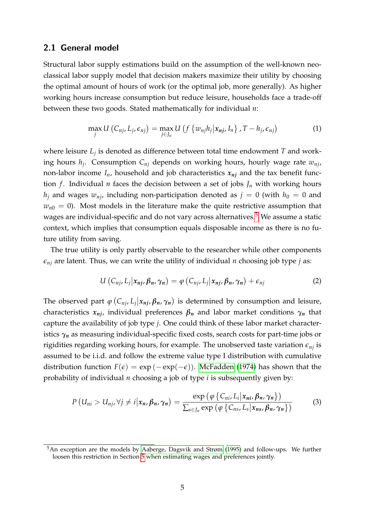#### **2.1 General model**

Structural labor supply estimations build on the assumption of the well-known neoclassical labor supply model that decision makers maximize their utility by choosing the optimal amount of hours of work (or the optimal job, more generally). As higher working hours increase consumption but reduce leisure, households face a trade-off between these two goods. Stated mathematically for individual *n*:

$$
\max_{j} U\left(C_{nj}, L_j, \epsilon_{nj}\right) = \max_{j \in J_n} U\left(f\left\{w_{nj}h_j | x_{nj}, I_n\right\}, T - h_j, \epsilon_{nj}\right) \tag{1}
$$

where leisure *L<sup>j</sup>* is denoted as difference between total time endowment *T* and working hours *h<sup>j</sup>* . Consumption *Cnj* depends on working hours, hourly wage rate *wnj*, non-labor income  $I_n$ , household and job characteristics  $x_{ni}$  and the tax benefit function *f*. Individual *n* faces the decision between a set of jobs  $J_n$  with working hours  $h_j$  and wages  $w_{nj}$ , including non-participation denoted as  $j = 0$  (with  $h_0 = 0$  and  $w_{n0} = 0$ ). Most models in the literature make the quite restrictive assumption that wages are individual-specific and do not vary across alternatives.<sup>[5](#page-6-0)</sup> We assume a static context, which implies that consumption equals disposable income as there is no future utility from saving.

The true utility is only partly observable to the researcher while other components  $\epsilon_{nj}$  are latent. Thus, we can write the utility of individual *n* choosing job type *j* as:

$$
U\left(C_{nj},L_j\big|x_{nj},\beta_n,\gamma_n\right)=\varphi\left(C_{nj},L_j\big|x_{nj},\beta_n,\gamma_n\right)+\epsilon_{nj}\tag{2}
$$

The observed part  $\varphi$  ( $C_{nj}$ ,  $L_j | x_{nj}$ ,  $\beta_n$ ,  $\gamma_n$ ) is determined by consumption and leisure, characteristics  $x_{ni}$ , individual preferences  $\beta_n$  and labor market conditions  $\gamma_n$  that capture the availability of job type *j*. One could think of these labor market characteristics  $\gamma_n$  as measuring individual-specific fixed costs, search costs for part-time jobs or rigidities regarding working hours, for example. The unobserved taste variation  $\epsilon_{ni}$  is assumed to be i.i.d. and follow the extreme value type I distribution with cumulative distribution function  $F(\epsilon) = \exp(-\exp(-\epsilon))$ . [McFadden](#page-30-1) [\(1974\)](#page-30-1) has shown that the probability of individual *n* choosing a job of type *i* is subsequently given by:

$$
P\left(U_{ni} > U_{nj}, \forall j \neq i | x_n, \beta_n, \gamma_n\right) = \frac{\exp\left(\varphi\left\{C_{ni}, L_i | x_{ni}, \beta_n, \gamma_n\right\}\right)}{\sum_{s \in J_n} \exp\left(\varphi\left\{C_{ns}, L_s | x_{ns}, \beta_n, \gamma_n\right\}\right)}
$$
(3)

<span id="page-6-0"></span><sup>&</sup>lt;sup>5</sup>An exception are the models by [Aaberge, Dagsvik and Strøm](#page-27-2) [\(1995\)](#page-27-2) and follow-ups. We further loosen this restriction in Section [5](#page-21-0) when estimating wages and preferences jointly.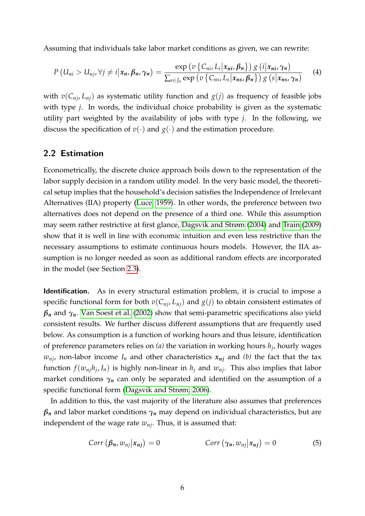Assuming that individuals take labor market conditions as given, we can rewrite:

$$
P\left(U_{ni} > U_{nj}, \forall j \neq i | x_n, \beta_n, \gamma_n\right) = \frac{\exp\left(\upsilon \left\{C_{ni}, L_i | x_{ni}, \beta_n\right\}\right) g\left(i | x_{ni}, \gamma_n\right)}{\sum_{s \in J_n} \exp\left(\upsilon \left\{C_{ns}, L_s | x_{ns}, \beta_n\right\}\right) g\left(s | x_{ns}, \gamma_n\right)}\tag{4}
$$

with  $v(C_{ni}, L_{ni})$  as systematic utility function and  $g(j)$  as frequency of feasible jobs with type *j*. In words, the individual choice probability is given as the systematic utility part weighted by the availability of jobs with type *j*. In the following, we discuss the specification of  $v(\cdot)$  and  $g(\cdot)$  and the estimation procedure.

#### **2.2 Estimation**

Econometrically, the discrete choice approach boils down to the representation of the labor supply decision in a random utility model. In the very basic model, the theoretical setup implies that the household's decision satisfies the Independence of Irrelevant Alternatives (IIA) property [\(Luce, 1959\)](#page-29-6). In other words, the preference between two alternatives does not depend on the presence of a third one. While this assumption may seem rather restrictive at first glance, [Dagsvik and Strøm](#page-28-8) [\(2004\)](#page-28-8) and [Train](#page-30-2) [\(2009\)](#page-30-2) show that it is well in line with economic intuition and even less restrictive than the necessary assumptions to estimate continuous hours models. However, the IIA assumption is no longer needed as soon as additional random effects are incorporated in the model (see Section [2.3\)](#page-8-0).

**Identification.** As in every structural estimation problem, it is crucial to impose a specific functional form for both  $v(C_{ni}, L_{ni})$  and  $g(j)$  to obtain consistent estimates of  $\beta_n$  and  $\gamma_n$ . [Van Soest et al.](#page-30-3) [\(2002\)](#page-30-3) show that semi-parametric specifications also yield consistent results. We further discuss different assumptions that are frequently used below. As consumption is a function of working hours and thus leisure, identification of preference parameters relies on *(a)* the variation in working hours *h<sup>j</sup>* , hourly wages  $w_{ni}$ , non-labor income  $I_n$  and other characteristics  $x_{ni}$  and *(b)* the fact that the tax function  $f(w_{nj}h_j, I_n)$  is highly non-linear in  $h_j$  and  $w_{nj}$ . This also implies that labor market conditions  $\gamma_n$  can only be separated and identified on the assumption of a specific functional form [\(Dagsvik and Strøm, 2006\)](#page-28-9).

In addition to this, the vast majority of the literature also assumes that preferences  $\beta_n$  and labor market conditions  $\gamma_n$  may depend on individual characteristics, but are independent of the wage rate *wnj*. Thus, it is assumed that:

<span id="page-7-0"></span>
$$
Corr \left(\beta_n, w_{nj} | x_{nj}\right) = 0 \qquad Corr \left(\gamma_n, w_{nj} | x_{nj}\right) = 0 \qquad (5)
$$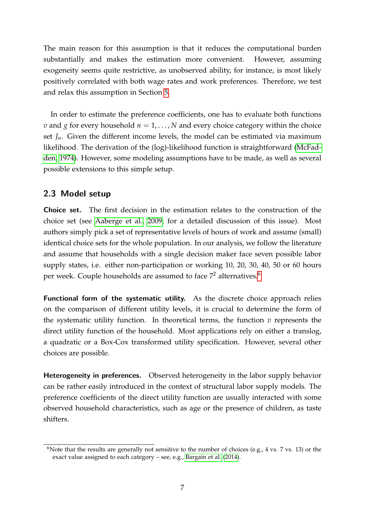The main reason for this assumption is that it reduces the computational burden substantially and makes the estimation more convenient. However, assuming exogeneity seems quite restrictive, as unobserved ability, for instance, is most likely positively correlated with both wage rates and work preferences. Therefore, we test and relax this assumption in Section [5.](#page-21-0)

In order to estimate the preference coefficients, one has to evaluate both functions *v* and *g* for every household  $n = 1, \ldots, N$  and every choice category within the choice set  $J_n$ . Given the different income levels, the model can be estimated via maximum likelihood. The derivation of the (log)-likelihood function is straightforward [\(McFad](#page-30-1)[den, 1974\)](#page-30-1). However, some modeling assumptions have to be made, as well as several possible extensions to this simple setup.

#### <span id="page-8-0"></span>**2.3 Model setup**

**Choice set.** The first decision in the estimation relates to the construction of the choice set (see [Aaberge et al., 2009,](#page-27-9) for a detailed discussion of this issue). Most authors simply pick a set of representative levels of hours of work and assume (small) identical choice sets for the whole population. In our analysis, we follow the literature and assume that households with a single decision maker face seven possible labor supply states, i.e. either non-participation or working 10, 20, 30, 40, 50 or 60 hours per week. Couple households are assumed to face  $7<sup>2</sup>$  alternatives.<sup>[6](#page-8-1)</sup>

**Functional form of the systematic utility.** As the discrete choice approach relies on the comparison of different utility levels, it is crucial to determine the form of the systematic utility function. In theoretical terms, the function *v* represents the direct utility function of the household. Most applications rely on either a translog, a quadratic or a Box-Cox transformed utility specification. However, several other choices are possible.

**Heterogeneity in preferences.** Observed heterogeneity in the labor supply behavior can be rather easily introduced in the context of structural labor supply models. The preference coefficients of the direct utility function are usually interacted with some observed household characteristics, such as age or the presence of children, as taste shifters.

<span id="page-8-1"></span><sup>&</sup>lt;sup>6</sup>Note that the results are generally not sensitive to the number of choices (e.g., 4 vs. 7 vs. 13) or the exact value assigned to each category – see, e.g., [Bargain et al.](#page-27-6) [\(2014\)](#page-27-6).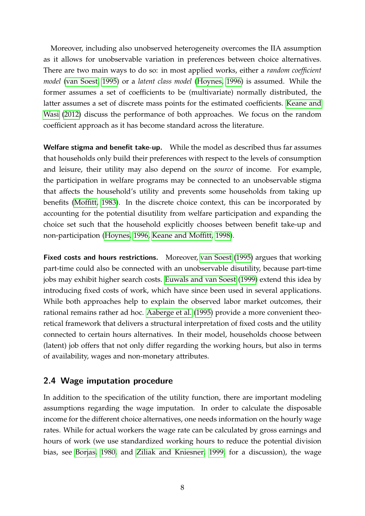Moreover, including also unobserved heterogeneity overcomes the IIA assumption as it allows for unobservable variation in preferences between choice alternatives. There are two main ways to do so: in most applied works, either a *random coefficient model* [\(van Soest, 1995\)](#page-30-0) or a *latent class model* [\(Hoynes, 1996\)](#page-29-5) is assumed. While the former assumes a set of coefficients to be (multivariate) normally distributed, the latter assumes a set of discrete mass points for the estimated coefficients. [Keane and](#page-29-7) [Wasi](#page-29-7) [\(2012\)](#page-29-7) discuss the performance of both approaches. We focus on the random coefficient approach as it has become standard across the literature.

**Welfare stigma and benefit take-up.** While the model as described thus far assumes that households only build their preferences with respect to the levels of consumption and leisure, their utility may also depend on the *source* of income. For example, the participation in welfare programs may be connected to an unobservable stigma that affects the household's utility and prevents some households from taking up benefits [\(Moffitt, 1983\)](#page-30-4). In the discrete choice context, this can be incorporated by accounting for the potential disutility from welfare participation and expanding the choice set such that the household explicitly chooses between benefit take-up and non-participation [\(Hoynes, 1996,](#page-29-5) [Keane and Moffitt, 1998\)](#page-29-8).

**Fixed costs and hours restrictions.** Moreover, [van Soest](#page-30-0) [\(1995\)](#page-30-0) argues that working part-time could also be connected with an unobservable disutility, because part-time jobs may exhibit higher search costs. [Euwals and van Soest](#page-28-10) [\(1999\)](#page-28-10) extend this idea by introducing fixed costs of work, which have since been used in several applications. While both approaches help to explain the observed labor market outcomes, their rational remains rather ad hoc. [Aaberge et al.](#page-27-2) [\(1995\)](#page-27-2) provide a more convenient theoretical framework that delivers a structural interpretation of fixed costs and the utility connected to certain hours alternatives. In their model, households choose between (latent) job offers that not only differ regarding the working hours, but also in terms of availability, wages and non-monetary attributes.

#### **2.4 Wage imputation procedure**

In addition to the specification of the utility function, there are important modeling assumptions regarding the wage imputation. In order to calculate the disposable income for the different choice alternatives, one needs information on the hourly wage rates. While for actual workers the wage rate can be calculated by gross earnings and hours of work (we use standardized working hours to reduce the potential division bias, see [Borjas, 1980,](#page-28-11) and [Ziliak and Kniesner, 1999,](#page-30-5) for a discussion), the wage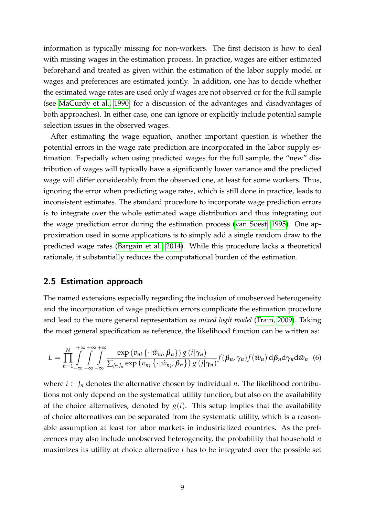information is typically missing for non-workers. The first decision is how to deal with missing wages in the estimation process. In practice, wages are either estimated beforehand and treated as given within the estimation of the labor supply model or wages and preferences are estimated jointly. In addition, one has to decide whether the estimated wage rates are used only if wages are not observed or for the full sample (see [MaCurdy et al., 1990,](#page-29-4) for a discussion of the advantages and disadvantages of both approaches). In either case, one can ignore or explicitly include potential sample selection issues in the observed wages.

After estimating the wage equation, another important question is whether the potential errors in the wage rate prediction are incorporated in the labor supply estimation. Especially when using predicted wages for the full sample, the "new" distribution of wages will typically have a significantly lower variance and the predicted wage will differ considerably from the observed one, at least for some workers. Thus, ignoring the error when predicting wage rates, which is still done in practice, leads to inconsistent estimates. The standard procedure to incorporate wage prediction errors is to integrate over the whole estimated wage distribution and thus integrating out the wage prediction error during the estimation process [\(van Soest, 1995\)](#page-30-0). One approximation used in some applications is to simply add a single random draw to the predicted wage rates [\(Bargain et al., 2014\)](#page-27-6). While this procedure lacks a theoretical rationale, it substantially reduces the computational burden of the estimation.

#### **2.5 Estimation approach**

The named extensions especially regarding the inclusion of unobserved heterogeneity and the incorporation of wage prediction errors complicate the estimation procedure and lead to the more general representation as *mixed logit model* [\(Train, 2009\)](#page-30-2). Taking the most general specification as reference, the likelihood function can be written as:

<span id="page-10-0"></span>
$$
L = \prod_{n=1}^{N} \int_{-\infty}^{+\infty} \int_{-\infty}^{+\infty} \frac{\exp(v_{ni}\{\cdot|\hat{w}_{ni}, \beta_n\}) g(i|\gamma_n)}{\sum_{j\in J_n} \exp(v_{nj}\{\cdot|\hat{w}_{nj}, \beta_n\}) g(j|\gamma_n)} f(\beta_n, \gamma_n) f(\hat{w}_n) d\beta_n d\gamma_n d\hat{w}_n
$$
 (6)

where  $i \in J_n$  denotes the alternative chosen by individual *n*. The likelihood contributions not only depend on the systematical utility function, but also on the availability of the choice alternatives, denoted by  $g(i)$ . This setup implies that the availability of choice alternatives can be separated from the systematic utility, which is a reasonable assumption at least for labor markets in industrialized countries. As the preferences may also include unobserved heterogeneity, the probability that household *n* maximizes its utility at choice alternative *i* has to be integrated over the possible set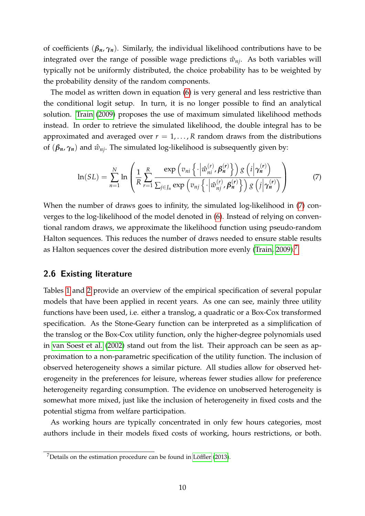of coefficients  $(\beta_n, \gamma_n)$ . Similarly, the individual likelihood contributions have to be integrated over the range of possible wage predictions  $\hat{w}_{ni}$ . As both variables will typically not be uniformly distributed, the choice probability has to be weighted by the probability density of the random components.

The model as written down in equation [\(6\)](#page-10-0) is very general and less restrictive than the conditional logit setup. In turn, it is no longer possible to find an analytical solution. [Train](#page-30-2) [\(2009\)](#page-30-2) proposes the use of maximum simulated likelihood methods instead. In order to retrieve the simulated likelihood, the double integral has to be approximated and averaged over  $r = 1, \ldots, R$  random draws from the distributions of  $(\beta_n, \gamma_n)$  and  $\hat{w}_{ni}$ . The simulated log-likelihood is subsequently given by:

<span id="page-11-0"></span>
$$
\ln(SL) = \sum_{n=1}^{N} \ln \left( \frac{1}{R} \sum_{r=1}^{R} \frac{\exp \left( v_{ni} \left\{ \cdot \left| \hat{w}_{ni}^{(r)}, \beta_{n}^{(r)} \right\} \right\} \right) g \left( i \left| \gamma_{n}^{(r)} \right) \right)}{\sum_{j \in J_{n}} \exp \left( v_{nj} \left\{ \cdot \left| \hat{w}_{nj}^{(r)}, \beta_{n}^{(r)} \right\} \right\} \right) g \left( j \left| \gamma_{n}^{(r)} \right) \right)} \right)
$$
(7)

When the number of draws goes to infinity, the simulated log-likelihood in [\(7\)](#page-11-0) converges to the log-likelihood of the model denoted in [\(6\)](#page-10-0). Instead of relying on conventional random draws, we approximate the likelihood function using pseudo-random Halton sequences. This reduces the number of draws needed to ensure stable results as Halton sequences cover the desired distribution more evenly [\(Train, 2009\)](#page-30-2).<sup>[7](#page-11-1)</sup>

#### **2.6 Existing literature**

Tables [1](#page-12-0) and [2](#page-12-1) provide an overview of the empirical specification of several popular models that have been applied in recent years. As one can see, mainly three utility functions have been used, i.e. either a translog, a quadratic or a Box-Cox transformed specification. As the Stone-Geary function can be interpreted as a simplification of the translog or the Box-Cox utility function, only the higher-degree polynomials used in [van Soest et al.](#page-30-3) [\(2002\)](#page-30-3) stand out from the list. Their approach can be seen as approximation to a non-parametric specification of the utility function. The inclusion of observed heterogeneity shows a similar picture. All studies allow for observed heterogeneity in the preferences for leisure, whereas fewer studies allow for preference heterogeneity regarding consumption. The evidence on unobserved heterogeneity is somewhat more mixed, just like the inclusion of heterogeneity in fixed costs and the potential stigma from welfare participation.

As working hours are typically concentrated in only few hours categories, most authors include in their models fixed costs of working, hours restrictions, or both.

<span id="page-11-1"></span><sup>7</sup>Details on the estimation procedure can be found in [Löffler](#page-29-9) [\(2013\)](#page-29-9).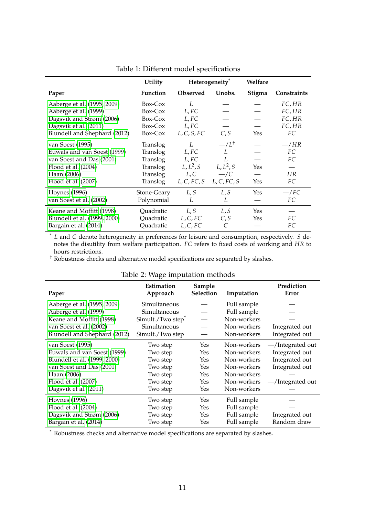|                              | <b>Utility</b> | Heterogeneity <sup>*</sup>  |                | Welfare |                    |
|------------------------------|----------------|-----------------------------|----------------|---------|--------------------|
| Paper                        | Function       | <b>Observed</b>             | Unobs.         | Stigma  | <b>Constraints</b> |
| Aaberge et al. (1995, 2009)  | Box-Cox        | $I_{\cdot}$                 |                |         | FC, HR             |
| Aaberge et al. (1999)        | Box-Cox        | L, FC                       |                |         | FC, HR             |
| Dagsvik and Strøm (2006)     | Box-Cox        | L, FC                       |                |         | FC, HR             |
| Dagsvik et al. (2011)        | Box-Cox        | L, FC                       |                |         | FC, HR             |
| Blundell and Shephard (2012) | Box-Cox        | L, C, S, FC                 | C, S           | Yes     | FC                 |
| van Soest (1995)             | Translog       | $I_{\cdot}$                 | $-L^{\dagger}$ |         | $-\/HR$            |
| Euwals and van Soest (1999)  | Translog       | L, FC                       | L              |         | FC                 |
| van Soest and Das (2001)     | Translog       | $L$ , $FC$                  | L              |         | FC                 |
| Flood et al. (2004)          | Translog       | $L, L^2, S$                 | $L, L^2, S$    | Yes     |                    |
| Haan (2006)                  | Translog       | L, C                        | $-\angle C$    |         | HR                 |
| Flood et al. (2007)          | Translog       | $L, C, FC, S$ $L, C, FC, S$ |                | Yes     | FC                 |
| <b>Hoynes</b> (1996)         | Stone-Geary    | L, S                        | L, S           | Yes     | $-/FC$             |
| van Soest et al. (2002)      | Polynomial     | L                           | L              |         | FC                 |
| Keane and Moffitt (1998)     | Quadratic      | L, S                        | L, S           | Yes     |                    |
| Blundell et al. (1999, 2000) | Quadratic      | L, C, FC                    | C, S           | Yes     | FC                 |
| Bargain et al. (2014)        | Quadratic      | L, C, FC                    | C              |         | FC                 |

<span id="page-12-0"></span>

| Table 1: Different model specifications |  |
|-----------------------------------------|--|
|-----------------------------------------|--|

\* *L* and *C* denote heterogeneity in preferences for leisure and consumption, respectively. *S* denotes the disutility from welfare participation. *FC* refers to fixed costs of working and *HR* to hours restrictions.

† Robustness checks and alternative model specifications are separated by slashes.

| Paper                        | Estimation<br>Approach        | Sample<br><b>Selection</b> | Imputation  | Prediction<br>Error |
|------------------------------|-------------------------------|----------------------------|-------------|---------------------|
| Aaberge et al. (1995, 2009)  | Simultaneous                  |                            | Full sample |                     |
| Aaberge et al. (1999)        | Simultaneous                  |                            | Full sample |                     |
| Keane and Moffitt (1998)     | Simult./Two step <sup>*</sup> |                            | Non-workers |                     |
| van Soest et al. (2002)      | Simultaneous                  |                            | Non-workers | Integrated out      |
| Blundell and Shephard (2012) | Simult./Two step              |                            | Non-workers | Integrated out      |
| van Soest (1995)             | Two step                      | Yes                        | Non-workers | $-$ /Integrated out |
| Euwals and van Soest (1999)  | Two step                      | Yes                        | Non-workers | Integrated out      |
| Blundell et al. (1999, 2000) | Two step                      | Yes                        | Non-workers | Integrated out      |
| van Soest and Das (2001)     | Two step                      | <b>Yes</b>                 | Non-workers | Integrated out      |
| Haan (2006)                  | Two step                      | Yes                        | Non-workers |                     |
| Flood et al. (2007)          | Two step                      | Yes                        | Non-workers | -/Integrated out    |
| Dagsvik et al. (2011)        | Two step                      | <b>Yes</b>                 | Non-workers |                     |
| <b>Hoynes</b> (1996)         | Two step                      | Yes                        | Full sample |                     |
| Flood et al. (2004)          | Two step                      | Yes                        | Full sample |                     |
| Dagsvik and Strøm (2006)     | Two step                      | <b>Yes</b>                 | Full sample | Integrated out      |
| Bargain et al. (2014)        | Two step                      | Yes                        | Full sample | Random draw         |

<span id="page-12-1"></span>Table 2: Wage imputation methods

\* Robustness checks and alternative model specifications are separated by slashes.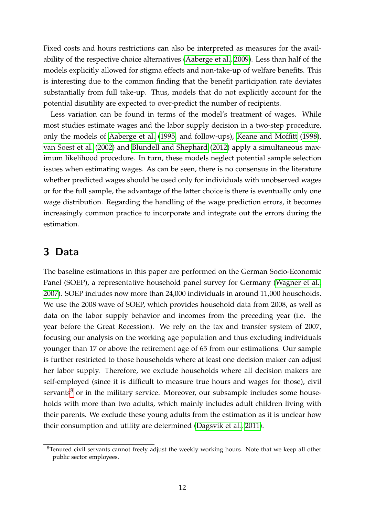Fixed costs and hours restrictions can also be interpreted as measures for the availability of the respective choice alternatives [\(Aaberge et al., 2009\)](#page-27-9). Less than half of the models explicitly allowed for stigma effects and non-take-up of welfare benefits. This is interesting due to the common finding that the benefit participation rate deviates substantially from full take-up. Thus, models that do not explicitly account for the potential disutility are expected to over-predict the number of recipients.

Less variation can be found in terms of the model's treatment of wages. While most studies estimate wages and the labor supply decision in a two-step procedure, only the models of [Aaberge et al.](#page-27-2) [\(1995,](#page-27-2) and follow-ups), [Keane and Moffitt](#page-29-8) [\(1998\)](#page-29-8), [van Soest et al.](#page-30-3) [\(2002\)](#page-30-3) and [Blundell and Shephard](#page-27-4) [\(2012\)](#page-27-4) apply a simultaneous maximum likelihood procedure. In turn, these models neglect potential sample selection issues when estimating wages. As can be seen, there is no consensus in the literature whether predicted wages should be used only for individuals with unobserved wages or for the full sample, the advantage of the latter choice is there is eventually only one wage distribution. Regarding the handling of the wage prediction errors, it becomes increasingly common practice to incorporate and integrate out the errors during the estimation.

# <span id="page-13-0"></span>**3 Data**

The baseline estimations in this paper are performed on the German Socio-Economic Panel (SOEP), a representative household panel survey for Germany [\(Wagner et al.,](#page-30-7) [2007\)](#page-30-7). SOEP includes now more than 24,000 individuals in around 11,000 households. We use the 2008 wave of SOEP, which provides household data from 2008, as well as data on the labor supply behavior and incomes from the preceding year (i.e. the year before the Great Recession). We rely on the tax and transfer system of 2007, focusing our analysis on the working age population and thus excluding individuals younger than 17 or above the retirement age of 65 from our estimations. Our sample is further restricted to those households where at least one decision maker can adjust her labor supply. Therefore, we exclude households where all decision makers are self-employed (since it is difficult to measure true hours and wages for those), civil servants $8$  or in the military service. Moreover, our subsample includes some households with more than two adults, which mainly includes adult children living with their parents. We exclude these young adults from the estimation as it is unclear how their consumption and utility are determined [\(Dagsvik et al., 2011\)](#page-28-12).

<span id="page-13-1"></span><sup>&</sup>lt;sup>8</sup>Tenured civil servants cannot freely adjust the weekly working hours. Note that we keep all other public sector employees.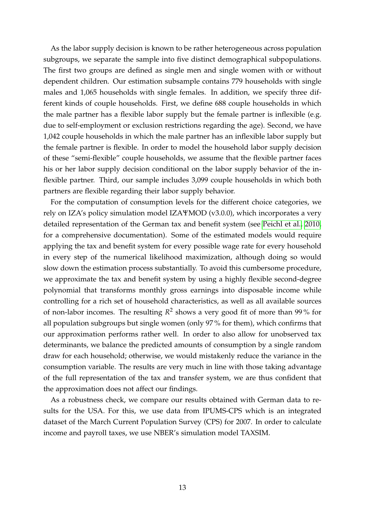As the labor supply decision is known to be rather heterogeneous across population subgroups, we separate the sample into five distinct demographical subpopulations. The first two groups are defined as single men and single women with or without dependent children. Our estimation subsample contains 779 households with single males and 1,065 households with single females. In addition, we specify three different kinds of couple households. First, we define 688 couple households in which the male partner has a flexible labor supply but the female partner is inflexible (e.g. due to self-employment or exclusion restrictions regarding the age). Second, we have 1,042 couple households in which the male partner has an inflexible labor supply but the female partner is flexible. In order to model the household labor supply decision of these "semi-flexible" couple households, we assume that the flexible partner faces his or her labor supply decision conditional on the labor supply behavior of the inflexible partner. Third, our sample includes 3,099 couple households in which both partners are flexible regarding their labor supply behavior.

For the computation of consumption levels for the different choice categories, we rely on IZA's policy simulation model IZAΨMOD (v3.0.0), which incorporates a very detailed representation of the German tax and benefit system (see [Peichl et al., 2010,](#page-30-8) for a comprehensive documentation). Some of the estimated models would require applying the tax and benefit system for every possible wage rate for every household in every step of the numerical likelihood maximization, although doing so would slow down the estimation process substantially. To avoid this cumbersome procedure, we approximate the tax and benefit system by using a highly flexible second-degree polynomial that transforms monthly gross earnings into disposable income while controlling for a rich set of household characteristics, as well as all available sources of non-labor incomes. The resulting  $R^2$  shows a very good fit of more than 99% for all population subgroups but single women (only 97 % for them), which confirms that our approximation performs rather well. In order to also allow for unobserved tax determinants, we balance the predicted amounts of consumption by a single random draw for each household; otherwise, we would mistakenly reduce the variance in the consumption variable. The results are very much in line with those taking advantage of the full representation of the tax and transfer system, we are thus confident that the approximation does not affect our findings.

As a robustness check, we compare our results obtained with German data to results for the USA. For this, we use data from IPUMS-CPS which is an integrated dataset of the March Current Population Survey (CPS) for 2007. In order to calculate income and payroll taxes, we use NBER's simulation model TAXSIM.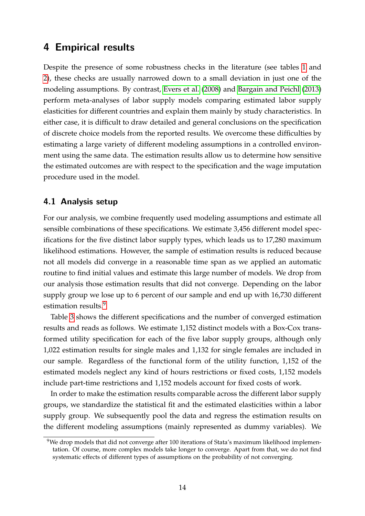## <span id="page-15-0"></span>**4 Empirical results**

Despite the presence of some robustness checks in the literature (see tables [1](#page-12-0) and [2\)](#page-12-1), these checks are usually narrowed down to a small deviation in just one of the modeling assumptions. By contrast, [Evers et al.](#page-28-5) [\(2008\)](#page-28-5) and [Bargain and Peichl](#page-27-7) [\(2013\)](#page-27-7) perform meta-analyses of labor supply models comparing estimated labor supply elasticities for different countries and explain them mainly by study characteristics. In either case, it is difficult to draw detailed and general conclusions on the specification of discrete choice models from the reported results. We overcome these difficulties by estimating a large variety of different modeling assumptions in a controlled environment using the same data. The estimation results allow us to determine how sensitive the estimated outcomes are with respect to the specification and the wage imputation procedure used in the model.

#### **4.1 Analysis setup**

For our analysis, we combine frequently used modeling assumptions and estimate all sensible combinations of these specifications. We estimate 3,456 different model specifications for the five distinct labor supply types, which leads us to 17,280 maximum likelihood estimations. However, the sample of estimation results is reduced because not all models did converge in a reasonable time span as we applied an automatic routine to find initial values and estimate this large number of models. We drop from our analysis those estimation results that did not converge. Depending on the labor supply group we lose up to 6 percent of our sample and end up with 16,730 different estimation results.<sup>[9](#page-15-1)</sup>

Table [3](#page-16-0) shows the different specifications and the number of converged estimation results and reads as follows. We estimate 1,152 distinct models with a Box-Cox transformed utility specification for each of the five labor supply groups, although only 1,022 estimation results for single males and 1,132 for single females are included in our sample. Regardless of the functional form of the utility function, 1,152 of the estimated models neglect any kind of hours restrictions or fixed costs, 1,152 models include part-time restrictions and 1,152 models account for fixed costs of work.

In order to make the estimation results comparable across the different labor supply groups, we standardize the statistical fit and the estimated elasticities within a labor supply group. We subsequently pool the data and regress the estimation results on the different modeling assumptions (mainly represented as dummy variables). We

<span id="page-15-1"></span><sup>9</sup>We drop models that did not converge after 100 iterations of Stata's maximum likelihood implementation. Of course, more complex models take longer to converge. Apart from that, we do not find systematic effects of different types of assumptions on the probability of not converging.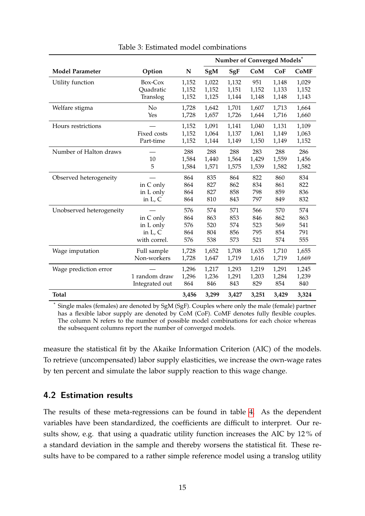|                          |                                                     |                                 |                                 | Number of Converged Models*     |                                 |                                 |                                 |
|--------------------------|-----------------------------------------------------|---------------------------------|---------------------------------|---------------------------------|---------------------------------|---------------------------------|---------------------------------|
| <b>Model Parameter</b>   | Option                                              | N                               | SgM                             | SgF                             | CoM                             | CoF                             | <b>CoMF</b>                     |
| Utility function         | Box-Cox<br>Quadratic<br>Translog                    | 1,152<br>1,152<br>1,152         | 1,022<br>1,152<br>1,125         | 1,132<br>1,151<br>1,144         | 951<br>1,152<br>1,148           | 1,148<br>1,133<br>1,148         | 1,029<br>1,152<br>1,143         |
| Welfare stigma           | No<br>Yes                                           | 1,728<br>1,728                  | 1,642<br>1,657                  | 1,701<br>1,726                  | 1,607<br>1,644                  | 1,713<br>1,716                  | 1,664<br>1,660                  |
| Hours restrictions       | Fixed costs<br>Part-time                            | 1,152<br>1,152<br>1,152         | 1,091<br>1,064<br>1,144         | 1,141<br>1,137<br>1,149         | 1,040<br>1,061<br>1,150         | 1,131<br>1,149<br>1,149         | 1,109<br>1,063<br>1,152         |
| Number of Halton draws   | 10<br>5                                             | 288<br>1,584<br>1,584           | 288<br>1,440<br>1,571           | 288<br>1,564<br>1,575           | 283<br>1,429<br>1,539           | 288<br>1,559<br>1,582           | 286<br>1,456<br>1,582           |
| Observed heterogeneity   | in C only<br>in L only<br>in $L, C$                 | 864<br>864<br>864<br>864        | 835<br>827<br>827<br>810        | 864<br>862<br>858<br>843        | 822<br>834<br>798<br>797        | 860<br>861<br>859<br>849        | 834<br>822<br>836<br>832        |
| Unobserved heterogeneity | in C only<br>in L only<br>in $L, C$<br>with correl. | 576<br>864<br>576<br>864<br>576 | 574<br>863<br>520<br>804<br>538 | 571<br>853<br>574<br>856<br>573 | 566<br>846<br>523<br>795<br>521 | 570<br>862<br>569<br>854<br>574 | 574<br>863<br>541<br>791<br>555 |
| Wage imputation          | Full sample<br>Non-workers                          | 1,728<br>1,728                  | 1,652<br>1,647                  | 1,708<br>1,719                  | 1,635<br>1,616                  | 1,710<br>1,719                  | 1,655<br>1,669                  |
| Wage prediction error    | 1 random draw<br>Integrated out                     | 1,296<br>1,296<br>864           | 1,217<br>1,236<br>846           | 1,293<br>1,291<br>843           | 1,219<br>1,203<br>829           | 1,291<br>1,284<br>854           | 1,245<br>1,239<br>840           |
| Total                    |                                                     | 3,456                           | 3,299                           | 3,427                           | 3,251                           | 3,429                           | 3,324                           |

<span id="page-16-0"></span>Table 3: Estimated model combinations

Single males (females) are denoted by SgM (SgF). Couples where only the male (female) partner has a flexible labor supply are denoted by CoM (CoF). CoMF denotes fully flexible couples. The column N refers to the number of possible model combinations for each choice whereas the subsequent columns report the number of converged models.

measure the statistical fit by the Akaike Information Criterion (AIC) of the models. To retrieve (uncompensated) labor supply elasticities, we increase the own-wage rates by ten percent and simulate the labor supply reaction to this wage change.

#### **4.2 Estimation results**

The results of these meta-regressions can be found in table [4.](#page-17-0) As the dependent variables have been standardized, the coefficients are difficult to interpret. Our results show, e.g. that using a quadratic utility function increases the AIC by 12 % of a standard deviation in the sample and thereby worsens the statistical fit. These results have to be compared to a rather simple reference model using a translog utility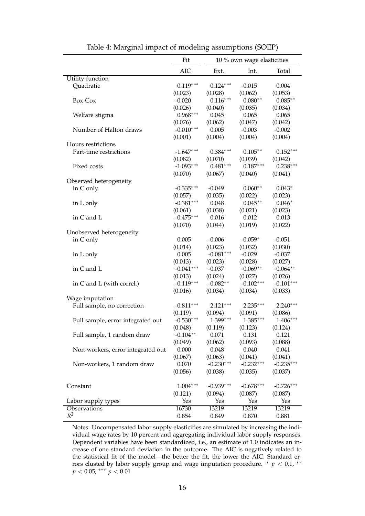|                                   | Fit         | 10 % own wage elasticities |                      |             |  |
|-----------------------------------|-------------|----------------------------|----------------------|-------------|--|
|                                   | AIC         | Ext.                       | Int.                 | Total       |  |
| Utility function                  |             |                            |                      |             |  |
| Quadratic                         | $0.119***$  | $0.124***$                 | $-0.015$             | 0.004       |  |
|                                   | (0.023)     | (0.028)                    | (0.062)              | (0.053)     |  |
| Box-Cox                           | $-0.020$    | $0.116***$                 | $0.080**$            | $0.085**$   |  |
|                                   | (0.026)     | (0.040)                    | (0.035)              | (0.034)     |  |
| Welfare stigma                    | $0.968***$  | 0.045                      | 0.065                | 0.065       |  |
|                                   | (0.076)     | (0.062)                    | (0.047)              | (0.042)     |  |
| Number of Halton draws            | $-0.010***$ | 0.005                      | $-0.003$             | $-0.002$    |  |
|                                   | (0.001)     | (0.004)                    | (0.004)              | (0.004)     |  |
| Hours restrictions                |             |                            |                      |             |  |
| Part-time restrictions            | $-1.647***$ | $0.384***$                 | $0.105***$           | $0.152***$  |  |
|                                   | (0.082)     | (0.070)                    | (0.039)              | (0.042)     |  |
| Fixed costs                       | $-1.093***$ | $0.481***$                 | $0.187***$           | $0.238***$  |  |
|                                   | (0.070)     | (0.067)                    | (0.040)              | (0.041)     |  |
| Observed heterogeneity            |             |                            |                      |             |  |
| in C only                         | $-0.335***$ | $-0.049$                   | $0.060**$            | $0.043*$    |  |
|                                   |             |                            |                      |             |  |
|                                   | (0.057)     | (0.035)                    | (0.022)<br>$0.045**$ | (0.023)     |  |
| in L only                         | $-0.381***$ | 0.048                      |                      | $0.046*$    |  |
|                                   | (0.061)     | (0.038)                    | (0.021)              | (0.023)     |  |
| in C and L                        | $-0.475***$ | 0.016                      | 0.012                | 0.013       |  |
|                                   | (0.070)     | (0.044)                    | (0.019)              | (0.022)     |  |
| Unobserved heterogeneity          |             |                            |                      |             |  |
| in C only                         | 0.005       | $-0.006$                   | $-0.059*$            | $-0.051$    |  |
|                                   | (0.014)     | (0.023)                    | (0.032)              | (0.030)     |  |
| in L only                         | 0.005       | $-0.081***$                | $-0.029$             | $-0.037$    |  |
|                                   | (0.013)     | (0.023)                    | (0.028)              | (0.027)     |  |
| in C and L                        | $-0.041***$ | $-0.037$                   | $-0.069**$           | $-0.064**$  |  |
|                                   | (0.013)     | (0.024)                    | (0.027)              | (0.026)     |  |
| in C and L (with correl.)         | $-0.119***$ | $-0.082**$                 | $-0.102***$          | $-0.101***$ |  |
|                                   | (0.016)     | (0.034)                    | (0.034)              | (0.033)     |  |
| Wage imputation                   |             |                            |                      |             |  |
| Full sample, no correction        | $-0.811***$ | $2.121***$                 | $2.235***$           | $2.240***$  |  |
|                                   | (0.119)     | (0.094)                    | (0.091)              | (0.086)     |  |
| Full sample, error integrated out | $-0.530***$ | 1.399***                   | $1.385***$           | $1.406***$  |  |
|                                   | (0.048)     | (0.119)                    | (0.123)              | (0.124)     |  |
| Full sample, 1 random draw        | $-0.104**$  | 0.071                      | 0.131                | 0.121       |  |
|                                   | (0.049)     | (0.062)                    | (0.093)              | (0.088)     |  |
| Non-workers, error integrated out | 0.000       | 0.048                      | 0.040                | 0.041       |  |
|                                   | (0.067)     | (0.063)                    | (0.041)              | (0.041)     |  |
| Non-workers, 1 random draw        | 0.070       | $-0.230***$                | $-0.232***$          | $-0.235***$ |  |
|                                   | (0.056)     | (0.038)                    | (0.035)              | (0.037)     |  |
|                                   |             |                            |                      |             |  |
| Constant                          | $1.004***$  | $-0.939***$                | $-0.678***$          | $-0.726***$ |  |
|                                   | (0.121)     | (0.094)                    | (0.087)              | (0.087)     |  |
| Labor supply types                | Yes         | Yes                        | Yes                  | Yes         |  |
| Observations                      | 16730       | 13219                      | 13219                | 13219       |  |
| $R^2$                             | 0.854       | 0.849                      | 0.870                | 0.881       |  |

<span id="page-17-0"></span>Table 4: Marginal impact of modeling assumptions (SOEP)

Notes: Uncompensated labor supply elasticities are simulated by increasing the individual wage rates by 10 percent and aggregating individual labor supply responses. Dependent variables have been standardized, i.e., an estimate of 1.0 indicates an increase of one standard deviation in the outcome. The AIC is negatively related to the statistical fit of the model—the better the fit, the lower the AIC. Standard errors clusted by labor supply group and wage imputation procedure.  $*$   $p$  < 0.1,  $**$ *p* < 0.05, ∗∗∗ *p* < 0.01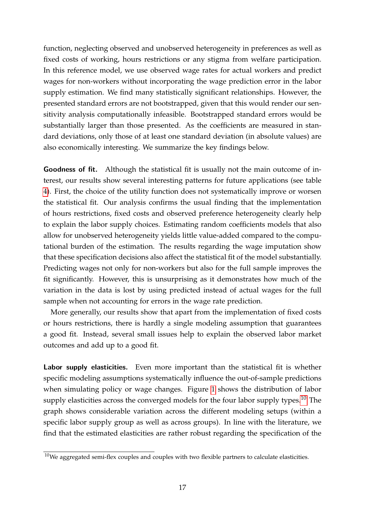function, neglecting observed and unobserved heterogeneity in preferences as well as fixed costs of working, hours restrictions or any stigma from welfare participation. In this reference model, we use observed wage rates for actual workers and predict wages for non-workers without incorporating the wage prediction error in the labor supply estimation. We find many statistically significant relationships. However, the presented standard errors are not bootstrapped, given that this would render our sensitivity analysis computationally infeasible. Bootstrapped standard errors would be substantially larger than those presented. As the coefficients are measured in standard deviations, only those of at least one standard deviation (in absolute values) are also economically interesting. We summarize the key findings below.

**Goodness of fit.** Although the statistical fit is usually not the main outcome of interest, our results show several interesting patterns for future applications (see table [4\)](#page-17-0). First, the choice of the utility function does not systematically improve or worsen the statistical fit. Our analysis confirms the usual finding that the implementation of hours restrictions, fixed costs and observed preference heterogeneity clearly help to explain the labor supply choices. Estimating random coefficients models that also allow for unobserved heterogeneity yields little value-added compared to the computational burden of the estimation. The results regarding the wage imputation show that these specification decisions also affect the statistical fit of the model substantially. Predicting wages not only for non-workers but also for the full sample improves the fit significantly. However, this is unsurprising as it demonstrates how much of the variation in the data is lost by using predicted instead of actual wages for the full sample when not accounting for errors in the wage rate prediction.

More generally, our results show that apart from the implementation of fixed costs or hours restrictions, there is hardly a single modeling assumption that guarantees a good fit. Instead, several small issues help to explain the observed labor market outcomes and add up to a good fit.

**Labor supply elasticities.** Even more important than the statistical fit is whether specific modeling assumptions systematically influence the out-of-sample predictions when simulating policy or wage changes. Figure [1](#page-19-0) shows the distribution of labor supply elasticities across the converged models for the four labor supply types.<sup>[10](#page-18-0)</sup> The graph shows considerable variation across the different modeling setups (within a specific labor supply group as well as across groups). In line with the literature, we find that the estimated elasticities are rather robust regarding the specification of the

<span id="page-18-0"></span> $10$ We aggregated semi-flex couples and couples with two flexible partners to calculate elasticities.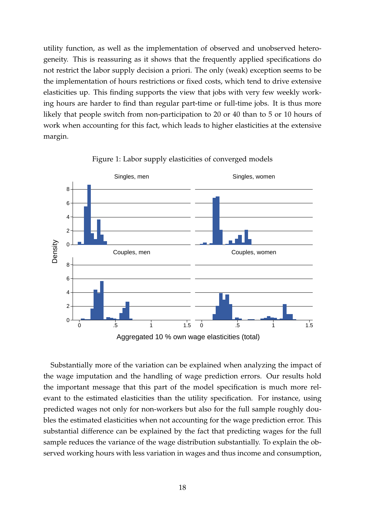utility function, as well as the implementation of observed and unobserved heterogeneity. This is reassuring as it shows that the frequently applied specifications do not restrict the labor supply decision a priori. The only (weak) exception seems to be the implementation of hours restrictions or fixed costs, which tend to drive extensive elasticities up. This finding supports the view that jobs with very few weekly working hours are harder to find than regular part-time or full-time jobs. It is thus more likely that people switch from non-participation to 20 or 40 than to 5 or 10 hours of work when accounting for this fact, which leads to higher elasticities at the extensive margin.



<span id="page-19-0"></span>Figure 1: Labor supply elasticities of converged models

Substantially more of the variation can be explained when analyzing the impact of the wage imputation and the handling of wage prediction errors. Our results hold the important message that this part of the model specification is much more relevant to the estimated elasticities than the utility specification. For instance, using predicted wages not only for non-workers but also for the full sample roughly doubles the estimated elasticities when not accounting for the wage prediction error. This substantial difference can be explained by the fact that predicting wages for the full sample reduces the variance of the wage distribution substantially. To explain the observed working hours with less variation in wages and thus income and consumption,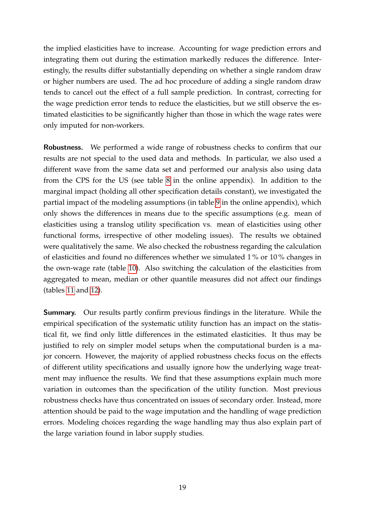the implied elasticities have to increase. Accounting for wage prediction errors and integrating them out during the estimation markedly reduces the difference. Interestingly, the results differ substantially depending on whether a single random draw or higher numbers are used. The ad hoc procedure of adding a single random draw tends to cancel out the effect of a full sample prediction. In contrast, correcting for the wage prediction error tends to reduce the elasticities, but we still observe the estimated elasticities to be significantly higher than those in which the wage rates were only imputed for non-workers.

**Robustness.** We performed a wide range of robustness checks to confirm that our results are not special to the used data and methods. In particular, we also used a different wave from the same data set and performed our analysis also using data from the CPS for the US (see table [8](#page-39-0) in the online appendix). In addition to the marginal impact (holding all other specification details constant), we investigated the partial impact of the modeling assumptions (in table [9](#page-40-0) in the online appendix), which only shows the differences in means due to the specific assumptions (e.g. mean of elasticities using a translog utility specification vs. mean of elasticities using other functional forms, irrespective of other modeling issues). The results we obtained were qualitatively the same. We also checked the robustness regarding the calculation of elasticities and found no differences whether we simulated 1 % or 10 % changes in the own-wage rate (table [10\)](#page-41-0). Also switching the calculation of the elasticities from aggregated to mean, median or other quantile measures did not affect our findings (tables [11](#page-42-0) and [12\)](#page-43-0).

**Summary.** Our results partly confirm previous findings in the literature. While the empirical specification of the systematic utility function has an impact on the statistical fit, we find only little differences in the estimated elasticities. It thus may be justified to rely on simpler model setups when the computational burden is a major concern. However, the majority of applied robustness checks focus on the effects of different utility specifications and usually ignore how the underlying wage treatment may influence the results. We find that these assumptions explain much more variation in outcomes than the specification of the utility function. Most previous robustness checks have thus concentrated on issues of secondary order. Instead, more attention should be paid to the wage imputation and the handling of wage prediction errors. Modeling choices regarding the wage handling may thus also explain part of the large variation found in labor supply studies.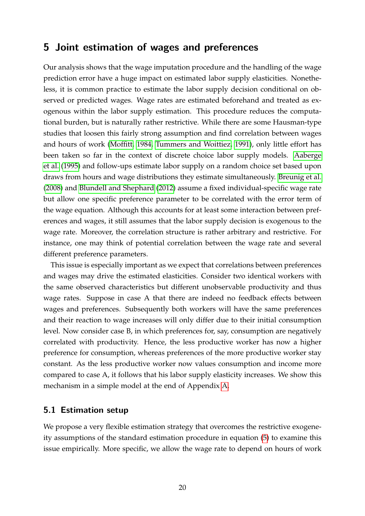# <span id="page-21-0"></span>**5 Joint estimation of wages and preferences**

Our analysis shows that the wage imputation procedure and the handling of the wage prediction error have a huge impact on estimated labor supply elasticities. Nonetheless, it is common practice to estimate the labor supply decision conditional on observed or predicted wages. Wage rates are estimated beforehand and treated as exogenous within the labor supply estimation. This procedure reduces the computational burden, but is naturally rather restrictive. While there are some Hausman-type studies that loosen this fairly strong assumption and find correlation between wages and hours of work [\(Moffitt, 1984,](#page-30-9) [Tummers and Woittiez, 1991\)](#page-30-10), only little effort has been taken so far in the context of discrete choice labor supply models. [Aaberge](#page-27-2) [et al.](#page-27-2) [\(1995\)](#page-27-2) and follow-ups estimate labor supply on a random choice set based upon draws from hours and wage distributions they estimate simultaneously. [Breunig et al.](#page-28-4) [\(2008\)](#page-28-4) and [Blundell and Shephard](#page-27-4) [\(2012\)](#page-27-4) assume a fixed individual-specific wage rate but allow one specific preference parameter to be correlated with the error term of the wage equation. Although this accounts for at least some interaction between preferences and wages, it still assumes that the labor supply decision is exogenous to the wage rate. Moreover, the correlation structure is rather arbitrary and restrictive. For instance, one may think of potential correlation between the wage rate and several different preference parameters.

This issue is especially important as we expect that correlations between preferences and wages may drive the estimated elasticities. Consider two identical workers with the same observed characteristics but different unobservable productivity and thus wage rates. Suppose in case A that there are indeed no feedback effects between wages and preferences. Subsequently both workers will have the same preferences and their reaction to wage increases will only differ due to their initial consumption level. Now consider case B, in which preferences for, say, consumption are negatively correlated with productivity. Hence, the less productive worker has now a higher preference for consumption, whereas preferences of the more productive worker stay constant. As the less productive worker now values consumption and income more compared to case A, it follows that his labor supply elasticity increases. We show this mechanism in a simple model at the end of Appendix [A.](#page-31-0)

#### **5.1 Estimation setup**

We propose a very flexible estimation strategy that overcomes the restrictive exogeneity assumptions of the standard estimation procedure in equation [\(5\)](#page-7-0) to examine this issue empirically. More specific, we allow the wage rate to depend on hours of work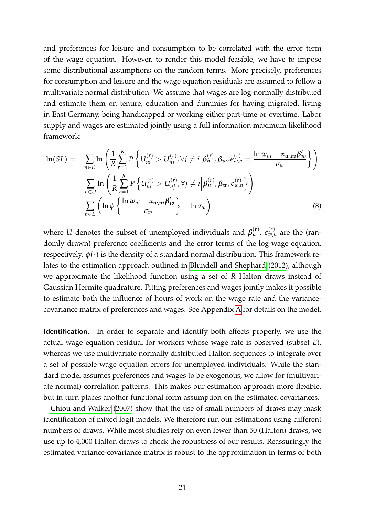and preferences for leisure and consumption to be correlated with the error term of the wage equation. However, to render this model feasible, we have to impose some distributional assumptions on the random terms. More precisely, preferences for consumption and leisure and the wage equation residuals are assumed to follow a multivariate normal distribution. We assume that wages are log-normally distributed and estimate them on tenure, education and dummies for having migrated, living in East Germany, being handicapped or working either part-time or overtime. Labor supply and wages are estimated jointly using a full information maximum likelihood framework:

$$
\ln(SL) = \sum_{n \in E} \ln \left( \frac{1}{R} \sum_{r=1}^{R} P \left\{ U_{ni}^{(r)} > U_{nj}^{(r)}, \forall j \neq i \middle| \beta_{n}^{(r)}, \beta_{w}, \epsilon_{w,n}^{(r)} = \frac{\ln w_{ni} - x_{w,ni} \beta_{w}'}{\sigma_{w}} \right\} \right) + \sum_{n \in U} \ln \left( \frac{1}{R} \sum_{r=1}^{R} P \left\{ U_{ni}^{(r)} > U_{nj}^{(r)}, \forall j \neq i \middle| \beta_{n}^{(r)}, \beta_{w}, \epsilon_{w,n}^{(r)} \right\} \right) + \sum_{n \in E} \left( \ln \phi \left\{ \frac{\ln w_{ni} - x_{w,ni} \beta_{w}'}{\sigma_{w}} \right\} - \ln \sigma_{w} \right)
$$
(8)

where *U* denotes the subset of unemployed individuals and  $\beta_n^{(r)}$ ,  $\epsilon_{w,n}^{(r)}$  are the (randomly drawn) preference coefficients and the error terms of the log-wage equation, respectively.  $\phi(\cdot)$  is the density of a standard normal distribution. This framework relates to the estimation approach outlined in [Blundell and Shephard](#page-27-4) [\(2012\)](#page-27-4), although we approximate the likelihood function using a set of *R* Halton draws instead of Gaussian Hermite quadrature. Fitting preferences and wages jointly makes it possible to estimate both the influence of hours of work on the wage rate and the variancecovariance matrix of preferences and wages. See Appendix [A](#page-31-0) for details on the model.

**Identification.** In order to separate and identify both effects properly, we use the actual wage equation residual for workers whose wage rate is observed (subset *E*), whereas we use multivariate normally distributed Halton sequences to integrate over a set of possible wage equation errors for unemployed individuals. While the standard model assumes preferences and wages to be exogenous, we allow for (multivariate normal) correlation patterns. This makes our estimation approach more flexible, but in turn places another functional form assumption on the estimated covariances.

[Chiou and Walker](#page-28-13) [\(2007\)](#page-28-13) show that the use of small numbers of draws may mask identification of mixed logit models. We therefore run our estimations using different numbers of draws. While most studies rely on even fewer than 50 (Halton) draws, we use up to 4,000 Halton draws to check the robustness of our results. Reassuringly the estimated variance-covariance matrix is robust to the approximation in terms of both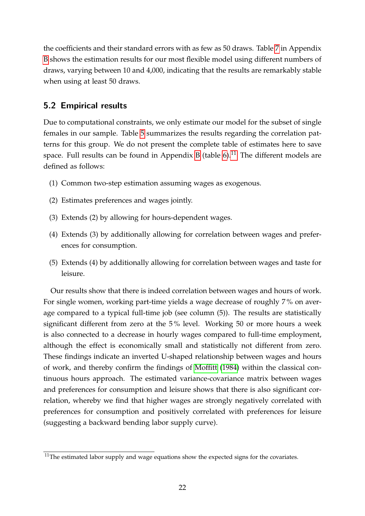the coefficients and their standard errors with as few as 50 draws. Table [7](#page-35-0) in Appendix [B](#page-32-0) shows the estimation results for our most flexible model using different numbers of draws, varying between 10 and 4,000, indicating that the results are remarkably stable when using at least 50 draws.

## **5.2 Empirical results**

Due to computational constraints, we only estimate our model for the subset of single females in our sample. Table [5](#page-24-0) summarizes the results regarding the correlation patterns for this group. We do not present the complete table of estimates here to save space. Full results can be found in Appendix [B](#page-32-0) (table  $6$ ).<sup>[11](#page-23-0)</sup> The different models are defined as follows:

- (1) Common two-step estimation assuming wages as exogenous.
- (2) Estimates preferences and wages jointly.
- (3) Extends (2) by allowing for hours-dependent wages.
- (4) Extends (3) by additionally allowing for correlation between wages and preferences for consumption.
- (5) Extends (4) by additionally allowing for correlation between wages and taste for leisure.

Our results show that there is indeed correlation between wages and hours of work. For single women, working part-time yields a wage decrease of roughly 7 % on average compared to a typical full-time job (see column (5)). The results are statistically significant different from zero at the 5 % level. Working 50 or more hours a week is also connected to a decrease in hourly wages compared to full-time employment, although the effect is economically small and statistically not different from zero. These findings indicate an inverted U-shaped relationship between wages and hours of work, and thereby confirm the findings of [Moffitt](#page-30-9) [\(1984\)](#page-30-9) within the classical continuous hours approach. The estimated variance-covariance matrix between wages and preferences for consumption and leisure shows that there is also significant correlation, whereby we find that higher wages are strongly negatively correlated with preferences for consumption and positively correlated with preferences for leisure (suggesting a backward bending labor supply curve).

<span id="page-23-0"></span> $11$ The estimated labor supply and wage equations show the expected signs for the covariates.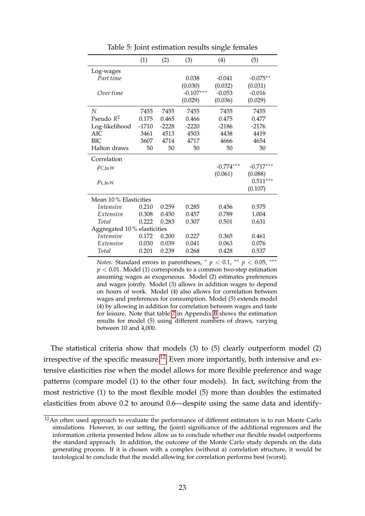|                             | (1)     | (2)     | (3)         | (4)         | (5)         |
|-----------------------------|---------|---------|-------------|-------------|-------------|
| Log-wages                   |         |         |             |             |             |
| Part time                   |         |         | 0.038       | $-0.041$    | $-0.075**$  |
|                             |         |         | (0.030)     | (0.032)     | (0.031)     |
| Over time                   |         |         | $-0.107***$ | $-0.053$    | $-0.016$    |
|                             |         |         | (0.029)     | (0.036)     | (0.029)     |
| N                           | 7455    | 7455    | 7455        | 7455        | 7455        |
| Pseudo $R^2$                | 0.175   | 0.465   | 0.466       | 0.475       | 0.477       |
| Log-likelihood              | $-1710$ | $-2228$ | $-2220$     | $-2186$     | $-2176$     |
| AIC                         | 3461    | 4513    | 4503        | 4438        | 4419        |
| <b>BIC</b>                  | 3607    | 4714    | 4717        | 4666        | 4654        |
| Halton draws                | 50      | 50      | 50          | 50          | 50          |
|                             |         |         |             |             |             |
| Correlation                 |         |         |             |             |             |
| $\rho_{C,\ln W}$            |         |         |             | $-0.774***$ | $-0.717***$ |
|                             |         |         |             | (0.061)     | (0.088)     |
| $\rho_{L,\ln W}$            |         |         |             |             | $0.511***$  |
|                             |         |         |             |             | (0.107)     |
| Mean 10% Elasticities       |         |         |             |             |             |
| <i>Intensive</i>            | 0.210   | 0.259   | 0.285       | 0.456       | 0.575       |
| Extensive                   | 0.308   | 0.450   | 0.457       | 0.789       | 1.004       |
| Total                       | 0.222   | 0.283   | 0.307       | 0.501       | 0.631       |
| Aggregated 10% elasticities |         |         |             |             |             |
| <i>Intensive</i>            | 0.172   | 0.200   | 0.227       | 0.365       | 0.461       |
| Extensive                   | 0.030   | 0.039   | 0.041       | 0.063       | 0.076       |

<span id="page-24-0"></span>Table 5: Joint estimation results single females

*Notes:* Standard errors in parentheses,  $p < 0.1$ , \*\*  $p < 0.05$ , \*\*\* *p* < 0.01. Model (1) corresponds to a common two-step estimation assuming wages as exogeneous. Model (2) estimates preferences and wages jointly. Model (3) allows in addition wages to depend on hours of work. Model (4) also allows for correlation between wages and preferences for consumption. Model (5) extends model (4) by allowing in addition for correlation between wages and taste for leisure. Note that table [7](#page-35-0) in Appendix [B](#page-32-0) shows the estimation results for model (5) using different numbers of draws, varying between 10 and 4,000.

The statistical criteria show that models (3) to (5) clearly outperform model (2) irrespective of the specific measure.<sup>[12](#page-24-1)</sup> Even more importantly, both intensive and extensive elasticities rise when the model allows for more flexible preference and wage patterns (compare model (1) to the other four models). In fact, switching from the most restrictive (1) to the most flexible model (5) more than doubles the estimated elasticities from above 0.2 to around 0.6—despite using the same data and identify-

<span id="page-24-1"></span><sup>&</sup>lt;sup>12</sup>An often used approach to evaluate the performance of different estimators is to run Monte Carlo simulations. However, in our setting, the (joint) significance of the additional regressors and the information criteria presented below allow us to conclude whether our flexible model outperforms the standard approach. In addition, the outcome of the Monte Carlo study depends on the data generating process. If it is chosen with a complex (without a) correlation structure, it would be tautological to conclude that the model allowing for correlation performs best (worst).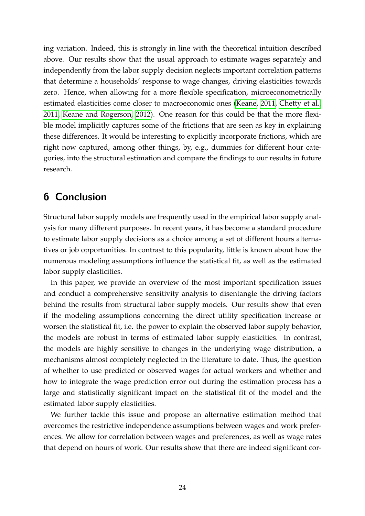ing variation. Indeed, this is strongly in line with the theoretical intuition described above. Our results show that the usual approach to estimate wages separately and independently from the labor supply decision neglects important correlation patterns that determine a households' response to wage changes, driving elasticities towards zero. Hence, when allowing for a more flexible specification, microeconometrically estimated elasticities come closer to macroeconomic ones [\(Keane, 2011,](#page-29-13) [Chetty et al.,](#page-28-2) [2011,](#page-28-2) [Keane and Rogerson, 2012\)](#page-29-1). One reason for this could be that the more flexible model implicitly captures some of the frictions that are seen as key in explaining these differences. It would be interesting to explicitly incorporate frictions, which are right now captured, among other things, by, e.g., dummies for different hour categories, into the structural estimation and compare the findings to our results in future research.

# <span id="page-25-0"></span>**6 Conclusion**

Structural labor supply models are frequently used in the empirical labor supply analysis for many different purposes. In recent years, it has become a standard procedure to estimate labor supply decisions as a choice among a set of different hours alternatives or job opportunities. In contrast to this popularity, little is known about how the numerous modeling assumptions influence the statistical fit, as well as the estimated labor supply elasticities.

In this paper, we provide an overview of the most important specification issues and conduct a comprehensive sensitivity analysis to disentangle the driving factors behind the results from structural labor supply models. Our results show that even if the modeling assumptions concerning the direct utility specification increase or worsen the statistical fit, i.e. the power to explain the observed labor supply behavior, the models are robust in terms of estimated labor supply elasticities. In contrast, the models are highly sensitive to changes in the underlying wage distribution, a mechanisms almost completely neglected in the literature to date. Thus, the question of whether to use predicted or observed wages for actual workers and whether and how to integrate the wage prediction error out during the estimation process has a large and statistically significant impact on the statistical fit of the model and the estimated labor supply elasticities.

We further tackle this issue and propose an alternative estimation method that overcomes the restrictive independence assumptions between wages and work preferences. We allow for correlation between wages and preferences, as well as wage rates that depend on hours of work. Our results show that there are indeed significant cor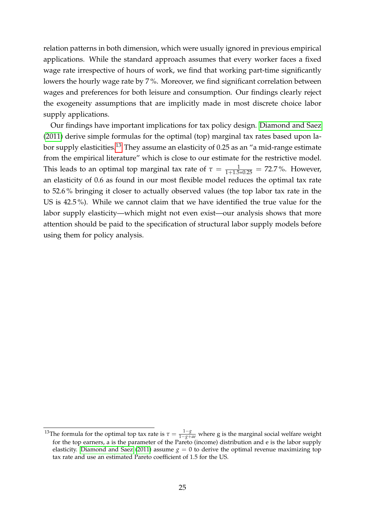relation patterns in both dimension, which were usually ignored in previous empirical applications. While the standard approach assumes that every worker faces a fixed wage rate irrespective of hours of work, we find that working part-time significantly lowers the hourly wage rate by 7 %. Moreover, we find significant correlation between wages and preferences for both leisure and consumption. Our findings clearly reject the exogeneity assumptions that are implicitly made in most discrete choice labor supply applications.

Our findings have important implications for tax policy design. [Diamond and Saez](#page-28-1) [\(2011\)](#page-28-1) derive simple formulas for the optimal (top) marginal tax rates based upon la-bor supply elasticities.<sup>[13](#page-26-0)</sup> They assume an elasticity of 0.25 as an "a mid-range estimate from the empirical literature" which is close to our estimate for the restrictive model. This leads to an optimal top marginal tax rate of  $\tau = \frac{1}{1+1.5*0.25} = 72.7$ %. However, an elasticity of 0.6 as found in our most flexible model reduces the optimal tax rate to 52.6 % bringing it closer to actually observed values (the top labor tax rate in the US is 42.5 %). While we cannot claim that we have identified the true value for the labor supply elasticity—which might not even exist—our analysis shows that more attention should be paid to the specification of structural labor supply models before using them for policy analysis.

<span id="page-26-0"></span><sup>&</sup>lt;sup>13</sup>The formula for the optimal top tax rate is  $\tau = \frac{1-g}{1-g+ae}$  where g is the marginal social welfare weight for the top earners, a is the parameter of the Pareto (income) distribution and e is the labor supply elasticity. [Diamond and Saez](#page-28-1) [\(2011\)](#page-28-1) assume  $g = 0$  to derive the optimal revenue maximizing top tax rate and use an estimated Pareto coefficient of 1.5 for the US.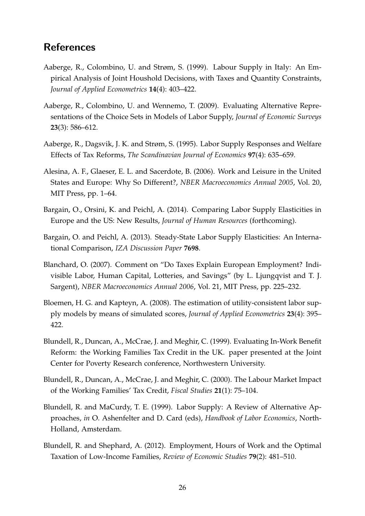# **References**

- <span id="page-27-10"></span>Aaberge, R., Colombino, U. and Strøm, S. (1999). Labour Supply in Italy: An Empirical Analysis of Joint Houshold Decisions, with Taxes and Quantity Constraints, *Journal of Applied Econometrics* **14**(4): 403–422.
- <span id="page-27-9"></span>Aaberge, R., Colombino, U. and Wennemo, T. (2009). Evaluating Alternative Representations of the Choice Sets in Models of Labor Supply, *Journal of Economic Surveys* **23**(3): 586–612.
- <span id="page-27-2"></span>Aaberge, R., Dagsvik, J. K. and Strøm, S. (1995). Labor Supply Responses and Welfare Effects of Tax Reforms, *The Scandinavian Journal of Economics* **97**(4): 635–659.
- <span id="page-27-1"></span>Alesina, A. F., Glaeser, E. L. and Sacerdote, B. (2006). Work and Leisure in the United States and Europe: Why So Different?, *NBER Macroeconomics Annual 2005*, Vol. 20, MIT Press, pp. 1–64.
- <span id="page-27-6"></span>Bargain, O., Orsini, K. and Peichl, A. (2014). Comparing Labor Supply Elasticities in Europe and the US: New Results, *Journal of Human Resources* (forthcoming).
- <span id="page-27-7"></span>Bargain, O. and Peichl, A. (2013). Steady-State Labor Supply Elasticities: An International Comparison, *IZA Discussion Paper* **7698**.
- <span id="page-27-0"></span>Blanchard, O. (2007). Comment on "Do Taxes Explain European Employment? Indivisible Labor, Human Capital, Lotteries, and Savings" (by L. Ljungqvist and T. J. Sargent), *NBER Macroeconomics Annual 2006*, Vol. 21, MIT Press, pp. 225–232.
- <span id="page-27-8"></span>Bloemen, H. G. and Kapteyn, A. (2008). The estimation of utility-consistent labor supply models by means of simulated scores, *Journal of Applied Econometrics* **23**(4): 395– 422.
- <span id="page-27-11"></span>Blundell, R., Duncan, A., McCrae, J. and Meghir, C. (1999). Evaluating In-Work Benefit Reform: the Working Families Tax Credit in the UK. paper presented at the Joint Center for Poverty Research conference, Northwestern University.
- <span id="page-27-3"></span>Blundell, R., Duncan, A., McCrae, J. and Meghir, C. (2000). The Labour Market Impact of the Working Families' Tax Credit, *Fiscal Studies* **21**(1): 75–104.
- <span id="page-27-5"></span>Blundell, R. and MaCurdy, T. E. (1999). Labor Supply: A Review of Alternative Approaches, *in* O. Ashenfelter and D. Card (eds), *Handbook of Labor Economics*, North-Holland, Amsterdam.
- <span id="page-27-4"></span>Blundell, R. and Shephard, A. (2012). Employment, Hours of Work and the Optimal Taxation of Low-Income Families, *Review of Economic Studies* **79**(2): 481–510.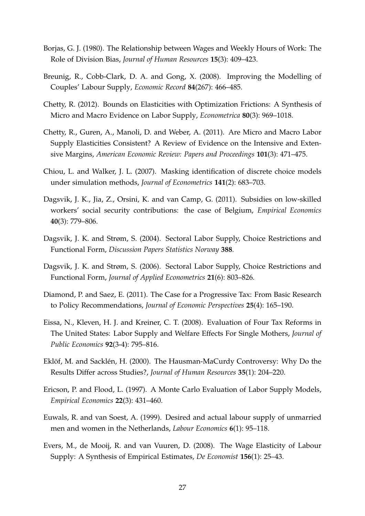- <span id="page-28-11"></span>Borjas, G. J. (1980). The Relationship between Wages and Weekly Hours of Work: The Role of Division Bias, *Journal of Human Resources* **15**(3): 409–423.
- <span id="page-28-4"></span>Breunig, R., Cobb-Clark, D. A. and Gong, X. (2008). Improving the Modelling of Couples' Labour Supply, *Economic Record* **84**(267): 466–485.
- <span id="page-28-3"></span>Chetty, R. (2012). Bounds on Elasticities with Optimization Frictions: A Synthesis of Micro and Macro Evidence on Labor Supply, *Econometrica* **80**(3): 969–1018.
- <span id="page-28-2"></span>Chetty, R., Guren, A., Manoli, D. and Weber, A. (2011). Are Micro and Macro Labor Supply Elasticities Consistent? A Review of Evidence on the Intensive and Extensive Margins, *American Economic Review: Papers and Proceedings* **101**(3): 471–475.
- <span id="page-28-13"></span>Chiou, L. and Walker, J. L. (2007). Masking identification of discrete choice models under simulation methods, *Journal of Econometrics* **141**(2): 683–703.
- <span id="page-28-12"></span>Dagsvik, J. K., Jia, Z., Orsini, K. and van Camp, G. (2011). Subsidies on low-skilled workers' social security contributions: the case of Belgium, *Empirical Economics* **40**(3): 779–806.
- <span id="page-28-8"></span>Dagsvik, J. K. and Strøm, S. (2004). Sectoral Labor Supply, Choice Restrictions and Functional Form, *Discussion Papers Statistics Norway* **388**.
- <span id="page-28-9"></span>Dagsvik, J. K. and Strøm, S. (2006). Sectoral Labor Supply, Choice Restrictions and Functional Form, *Journal of Applied Econometrics* **21**(6): 803–826.
- <span id="page-28-1"></span>Diamond, P. and Saez, E. (2011). The Case for a Progressive Tax: From Basic Research to Policy Recommendations, *Journal of Economic Perspectives* **25**(4): 165–190.
- <span id="page-28-0"></span>Eissa, N., Kleven, H. J. and Kreiner, C. T. (2008). Evaluation of Four Tax Reforms in The United States: Labor Supply and Welfare Effects For Single Mothers, *Journal of Public Economics* **92**(3-4): 795–816.
- <span id="page-28-7"></span>Eklöf, M. and Sacklén, H. (2000). The Hausman-MaCurdy Controversy: Why Do the Results Differ across Studies?, *Journal of Human Resources* **35**(1): 204–220.
- <span id="page-28-6"></span>Ericson, P. and Flood, L. (1997). A Monte Carlo Evaluation of Labor Supply Models, *Empirical Economics* **22**(3): 431–460.
- <span id="page-28-10"></span>Euwals, R. and van Soest, A. (1999). Desired and actual labour supply of unmarried men and women in the Netherlands, *Labour Economics* **6**(1): 95–118.
- <span id="page-28-5"></span>Evers, M., de Mooij, R. and van Vuuren, D. (2008). The Wage Elasticity of Labour Supply: A Synthesis of Empirical Estimates, *De Economist* **156**(1): 25–43.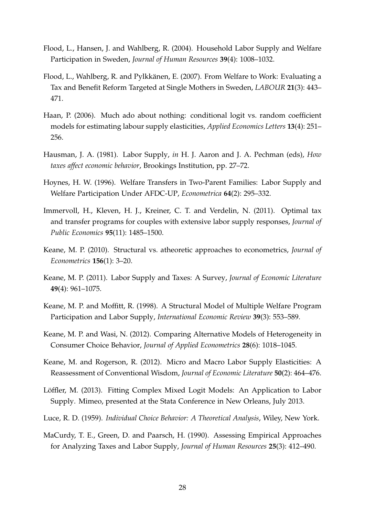- <span id="page-29-10"></span>Flood, L., Hansen, J. and Wahlberg, R. (2004). Household Labor Supply and Welfare Participation in Sweden, *Journal of Human Resources* **39**(4): 1008–1032.
- <span id="page-29-12"></span>Flood, L., Wahlberg, R. and Pylkkänen, E. (2007). From Welfare to Work: Evaluating a Tax and Benefit Reform Targeted at Single Mothers in Sweden, *LABOUR* **21**(3): 443– 471.
- <span id="page-29-11"></span>Haan, P. (2006). Much ado about nothing: conditional logit vs. random coefficient models for estimating labour supply elasticities, *Applied Economics Letters* **13**(4): 251– 256.
- <span id="page-29-3"></span>Hausman, J. A. (1981). Labor Supply, *in* H. J. Aaron and J. A. Pechman (eds), *How taxes affect economic behavior*, Brookings Institution, pp. 27–72.
- <span id="page-29-5"></span>Hoynes, H. W. (1996). Welfare Transfers in Two-Parent Families: Labor Supply and Welfare Participation Under AFDC-UP, *Econometrica* **64**(2): 295–332.
- <span id="page-29-0"></span>Immervoll, H., Kleven, H. J., Kreiner, C. T. and Verdelin, N. (2011). Optimal tax and transfer programs for couples with extensive labor supply responses, *Journal of Public Economics* **95**(11): 1485–1500.
- <span id="page-29-2"></span>Keane, M. P. (2010). Structural vs. atheoretic approaches to econometrics, *Journal of Econometrics* **156**(1): 3–20.
- <span id="page-29-13"></span>Keane, M. P. (2011). Labor Supply and Taxes: A Survey, *Journal of Economic Literature* **49**(4): 961–1075.
- <span id="page-29-8"></span>Keane, M. P. and Moffitt, R. (1998). A Structural Model of Multiple Welfare Program Participation and Labor Supply, *International Economic Review* **39**(3): 553–589.
- <span id="page-29-7"></span>Keane, M. P. and Wasi, N. (2012). Comparing Alternative Models of Heterogeneity in Consumer Choice Behavior, *Journal of Applied Econometrics* **28**(6): 1018–1045.
- <span id="page-29-1"></span>Keane, M. and Rogerson, R. (2012). Micro and Macro Labor Supply Elasticities: A Reassessment of Conventional Wisdom, *Journal of Economic Literature* **50**(2): 464–476.
- <span id="page-29-9"></span>Löffler, M. (2013). Fitting Complex Mixed Logit Models: An Application to Labor Supply. Mimeo, presented at the Stata Conference in New Orleans, July 2013.
- <span id="page-29-6"></span>Luce, R. D. (1959). *Individual Choice Behavior: A Theoretical Analysis*, Wiley, New York.
- <span id="page-29-4"></span>MaCurdy, T. E., Green, D. and Paarsch, H. (1990). Assessing Empirical Approaches for Analyzing Taxes and Labor Supply, *Journal of Human Resources* **25**(3): 412–490.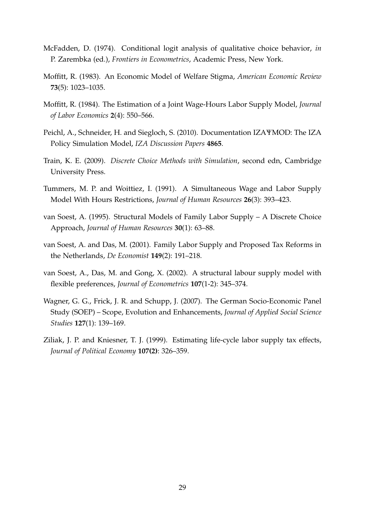- <span id="page-30-1"></span>McFadden, D. (1974). Conditional logit analysis of qualitative choice behavior, *in* P. Zarembka (ed.), *Frontiers in Econometrics*, Academic Press, New York.
- <span id="page-30-4"></span>Moffitt, R. (1983). An Economic Model of Welfare Stigma, *American Economic Review* **73**(5): 1023–1035.
- <span id="page-30-9"></span>Moffitt, R. (1984). The Estimation of a Joint Wage-Hours Labor Supply Model, *Journal of Labor Economics* **2**(4): 550–566.
- <span id="page-30-8"></span>Peichl, A., Schneider, H. and Siegloch, S. (2010). Documentation IZAΨMOD: The IZA Policy Simulation Model, *IZA Discussion Papers* **4865**.
- <span id="page-30-2"></span>Train, K. E. (2009). *Discrete Choice Methods with Simulation*, second edn, Cambridge University Press.
- <span id="page-30-10"></span>Tummers, M. P. and Woittiez, I. (1991). A Simultaneous Wage and Labor Supply Model With Hours Restrictions, *Journal of Human Resources* **26**(3): 393–423.
- <span id="page-30-0"></span>van Soest, A. (1995). Structural Models of Family Labor Supply – A Discrete Choice Approach, *Journal of Human Resources* **30**(1): 63–88.
- <span id="page-30-6"></span>van Soest, A. and Das, M. (2001). Family Labor Supply and Proposed Tax Reforms in the Netherlands, *De Economist* **149**(2): 191–218.
- <span id="page-30-3"></span>van Soest, A., Das, M. and Gong, X. (2002). A structural labour supply model with flexible preferences, *Journal of Econometrics* **107**(1-2): 345–374.
- <span id="page-30-7"></span>Wagner, G. G., Frick, J. R. and Schupp, J. (2007). The German Socio-Economic Panel Study (SOEP) – Scope, Evolution and Enhancements, *Journal of Applied Social Science Studies* **127**(1): 139–169.
- <span id="page-30-5"></span>Ziliak, J. P. and Kniesner, T. J. (1999). Estimating life-cycle labor supply tax effects, *Journal of Political Economy* **107(2)**: 326–359.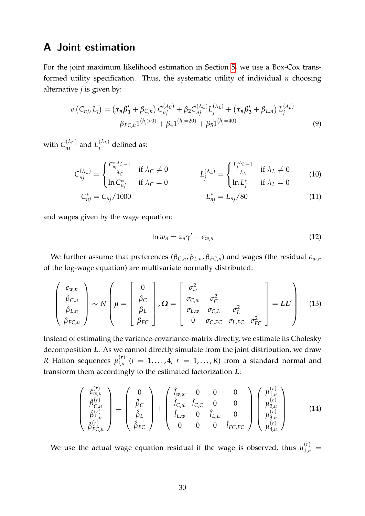# <span id="page-31-0"></span>**A Joint estimation**

For the joint maximum likelihood estimation in Section [5,](#page-21-0) we use a Box-Cox transformed utility specification. Thus, the systematic utility of individual *n* choosing alternative *j* is given by:

$$
v(C_{nj}, L_j) = (x_n \beta'_1 + \beta_{C,n}) C_{nj}^{(\lambda_C)} + \beta_2 C_{nj}^{(\lambda_C)} L_j^{(\lambda_L)} + (x_n \beta'_3 + \beta_{L,n}) L_j^{(\lambda_L)} + \beta_{FC,n} 1^{(h_j > 0)} + \beta_4 1^{(h_j = 20)} + \beta_5 1^{(h_j = 40)}
$$
\n(9)

with  $C_{nj}^{(\lambda_C)}$  and  $L_j^{(\lambda_L)}$  $j^{\langle n_L \rangle}$  defined as:

$$
C_{nj}^{(\lambda_C)} = \begin{cases} \frac{C_{nj}^{*\lambda_C} - 1}{\lambda_C} & \text{if } \lambda_C \neq 0 \\ \ln C_{nj}^* & \text{if } \lambda_C = 0 \end{cases} \qquad L_j^{(\lambda_L)} = \begin{cases} \frac{L_j^{*\lambda_L} - 1}{\lambda_L} & \text{if } \lambda_L \neq 0 \\ \ln L_j^* & \text{if } \lambda_L = 0 \end{cases} \tag{10}
$$

$$
C_{nj}^* = C_{nj}/1000 \qquad L_{nj}^* = L_{nj}/80 \qquad (11)
$$

and wages given by the wage equation:

<span id="page-31-2"></span><span id="page-31-1"></span>
$$
\ln w_n = z_n \gamma' + \epsilon_{w,n} \tag{12}
$$

We further assume that preferences ( $\beta_{C,n}$ ,  $\beta_{L,n}$ ,  $\beta_{FC,n}$ ) and wages (the residual  $\epsilon_{w,n}$ of the log-wage equation) are multivariate normally distributed:

$$
\begin{pmatrix}\n\epsilon_{w,n} \\
\beta_{C,n} \\
\beta_{L,n} \\
\beta_{FC,n}\n\end{pmatrix}\n\sim N\n\begin{pmatrix}\n\mu =\n\begin{bmatrix}\n0 \\
\beta_C \\
\beta_L \\
\beta_{FC}\n\end{bmatrix}, \Omega =\n\begin{bmatrix}\n\sigma_w^2 & \sigma_C^2 \\
\sigma_{C,w} & \sigma_C^2 \\
\sigma_{L,w} & \sigma_{C,L} & \sigma_L^2 \\
0 & \sigma_{C,FC} & \sigma_{L,FC} & \sigma_{FC}^2\n\end{bmatrix} = LL'\n\end{pmatrix}
$$
\n(13)

Instead of estimating the variance-covariance-matrix directly, we estimate its Cholesky decomposition *L*. As we cannot directly simulate from the joint distribution, we draw *R* Halton sequences  $\mu_{i,n}^{(r)}$  $\int_{i,n}^{(r)}$   $(i = 1,\ldots,4, r = 1,\ldots,R)$  from a standard normal and transform them accordingly to the estimated factorization *L*:

$$
\begin{pmatrix}\n\hat{\epsilon}_{w,n}^{(r)} \\
\hat{\beta}_{C,n}^{(r)} \\
\hat{\beta}_{L,n}^{(r)} \\
\hat{\beta}_{FC,n}^{(r)}\n\end{pmatrix} = \begin{pmatrix}\n0 \\
\hat{\beta}_{C} \\
\hat{\beta}_{L} \\
\hat{\beta}_{FC}\n\end{pmatrix} + \begin{pmatrix}\n\hat{l}_{w,w} & 0 & 0 & 0 \\
\hat{l}_{C,w} & \hat{l}_{C,C} & 0 & 0 \\
\hat{l}_{L,w} & 0 & \hat{l}_{L,L} & 0 \\
0 & 0 & 0 & \hat{l}_{FC,FC}\n\end{pmatrix} \begin{pmatrix}\n\mu_{1,n}^{(r)} \\
\mu_{2,n}^{(r)} \\
\mu_{3,n}^{(r)} \\
\mu_{4,n}^{(r)}\n\end{pmatrix}
$$
\n(14)

We use the actual wage equation residual if the wage is observed, thus  $\mu_{1,n}^{(r)} =$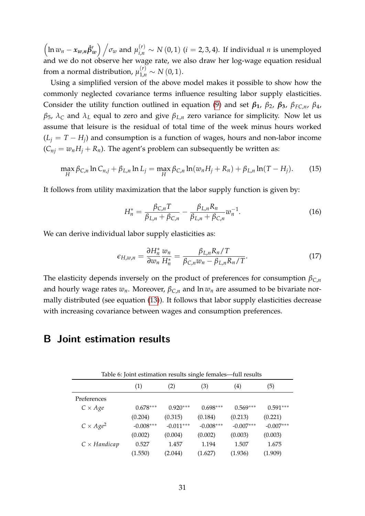$\left(\ln w_n - x_{w,n} \hat{\beta}'_w\right)$   $\Big/\sigma_w$  and  $\mu_{i,n}^{(r)} \sim N(0,1)$  (*i* = 2, 3, 4). If individual *n* is unemployed and we do not observe her wage rate, we also draw her log-wage equation residual from a normal distribution,  $\mu_{1,n}^{(r)} \sim N(0,1)$ .

Using a simplified version of the above model makes it possible to show how the commonly neglected covariance terms influence resulting labor supply elasticities. Consider the utility function outlined in equation [\(9\)](#page-31-1) and set  $\beta_1$ ,  $\beta_2$ ,  $\beta_3$ ,  $\beta_{FC,n}$ ,  $\beta_4$ , *β*<sub>5</sub>,  $λ$ <sub>*C*</sub> and  $λ$ <sub>*L*</sub> equal to zero and give  $β$ <sub>*L*,*n*</sub> zero variance for simplicity. Now let us assume that leisure is the residual of total time of the week minus hours worked  $(L_j = T - H_j)$  and consumption is a function of wages, hours and non-labor income  $(C_{nj} = w_n H_j + R_n)$ . The agent's problem can subsequently be written as:

$$
\max_{H} \beta_{C,n} \ln C_{n,j} + \beta_{L,n} \ln L_j = \max_{H} \beta_{C,n} \ln(w_n H_j + R_n) + \beta_{L,n} \ln(T - H_j). \tag{15}
$$

It follows from utility maximization that the labor supply function is given by:

$$
H_n^* = \frac{\beta_{C,n}T}{\beta_{L,n} + \beta_{C,n}} - \frac{\beta_{L,n}R_n}{\beta_{L,n} + \beta_{C,n}} w_n^{-1}.
$$
 (16)

We can derive individual labor supply elasticities as:

$$
\epsilon_{H,w,n} = \frac{\partial H_n^*}{\partial w_n} \frac{w_n}{H_n^*} = \frac{\beta_{L,n} R_n / T}{\beta_{C,n} w_n - \beta_{L,n} R_n / T}.
$$
\n(17)

The elasticity depends inversely on the product of preferences for consumption  $\beta_{C,n}$ and hourly wage rates  $w_n$ . Moreover,  $\beta_{C,n}$  and  $\ln w_n$  are assumed to be bivariate normally distributed (see equation [\(13\)](#page-31-2)). It follows that labor supply elasticities decrease with increasing covariance between wages and consumption preferences.

## <span id="page-32-1"></span><span id="page-32-0"></span>**B Joint estimation results**

| Table 6: Joint estimation results single females—full results |             |             |             |                   |             |  |  |  |  |  |
|---------------------------------------------------------------|-------------|-------------|-------------|-------------------|-------------|--|--|--|--|--|
|                                                               | (1)         | (2)         | (3)         | $\left( 4\right)$ | (5)         |  |  |  |  |  |
| Preferences                                                   |             |             |             |                   |             |  |  |  |  |  |
| $C \times Age$                                                | $0.678***$  | $0.920***$  | $0.698***$  | $0.569***$        | $0.591***$  |  |  |  |  |  |
|                                                               | (0.204)     | (0.315)     | (0.184)     | (0.213)           | (0.221)     |  |  |  |  |  |
| $C \times Age^2$                                              | $-0.008***$ | $-0.011***$ | $-0.008***$ | $-0.007***$       | $-0.007***$ |  |  |  |  |  |
|                                                               | (0.002)     | (0.004)     | (0.002)     | (0.003)           | (0.003)     |  |  |  |  |  |
| $C \times$ Handicap                                           | 0.527       | 1.457       | 1.194       | 1.507             | 1.675       |  |  |  |  |  |
|                                                               | (1.550)     | (2.044)     | (1.627)     | (1.936)           | (1.909)     |  |  |  |  |  |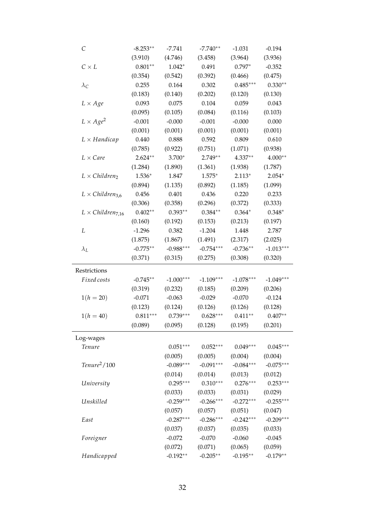| С                          | $-8.253**$ | $-7.741$    | $-7.740**$  | $-1.031$    | $-0.194$    |
|----------------------------|------------|-------------|-------------|-------------|-------------|
|                            | (3.910)    | (4.746)     | (3.458)     | (3.964)     | (3.936)     |
| $C \times L$               | $0.801**$  | $1.042*$    | 0.491       | $0.797*$    | $-0.352$    |
|                            | (0.354)    | (0.542)     | (0.392)     | (0.466)     | (0.475)     |
| $\lambda_C$                | 0.255      | 0.164       | 0.302       | $0.485***$  | $0.330**$   |
|                            | (0.183)    | (0.140)     | (0.202)     | (0.120)     | (0.130)     |
| $L \times Age$             | 0.093      | 0.075       | 0.104       | 0.059       | 0.043       |
|                            | (0.095)    | (0.105)     | (0.084)     | (0.116)     | (0.103)     |
| $L \times Age^2$           | $-0.001$   | $-0.000$    | $-0.001$    | $-0.000$    | 0.000       |
|                            | (0.001)    | (0.001)     | (0.001)     | (0.001)     | (0.001)     |
| $L \times$ Handicap        | 0.440      | 0.888       | 0.592       | 0.809       | 0.610       |
|                            | (0.785)    | (0.922)     | (0.751)     | (1.071)     | (0.938)     |
| $L \times Care$            | $2.624**$  | 3.700*      | $2.749**$   | $4.337**$   | $4.000**$   |
|                            | (1.284)    | (1.890)     | (1.361)     | (1.938)     | (1.787)     |
| $L \times Children_2$      | $1.536*$   | 1.847       | $1.575*$    | $2.113*$    | $2.054*$    |
|                            | (0.894)    | (1.135)     | (0.892)     | (1.185)     | (1.099)     |
| $L \times Children_{3.6}$  | 0.456      | 0.401       | 0.436       | 0.220       | 0.233       |
|                            | (0.306)    | (0.358)     | (0.296)     | (0.372)     | (0.333)     |
| $L \times Children_{7.16}$ | $0.402**$  | $0.393**$   | $0.384**$   | $0.364*$    | $0.348*$    |
|                            | (0.160)    | (0.192)     | (0.153)     | (0.213)     | (0.197)     |
| L                          | $-1.296$   | 0.382       | $-1.204$    | 1.448       | 2.787       |
|                            | (1.875)    | (1.867)     | (1.491)     | (2.317)     | (2.025)     |
| $\lambda_L$                | $-0.775**$ | $-0.988***$ | $-0.754***$ | $-0.736**$  | $-1.013***$ |
|                            | (0.371)    | (0.315)     | (0.275)     | (0.308)     | (0.320)     |
| Restrictions               |            |             |             |             |             |
| Fixed costs                | $-0.745**$ | $-1.000***$ | $-1.109***$ | $-1.078***$ | $-1.049***$ |
|                            | (0.319)    | (0.232)     | (0.185)     | (0.209)     | (0.206)     |
| $1(h = 20)$                | $-0.071$   | $-0.063$    | $-0.029$    | $-0.070$    | $-0.124$    |
|                            | (0.123)    | (0.124)     | (0.126)     | (0.126)     | (0.128)     |
| $1(h = 40)$                | $0.811***$ | $0.739***$  | $0.628***$  | $0.411**$   | $0.407**$   |
|                            | (0.089)    | (0.095)     | (0.128)     | (0.195)     | (0.201)     |
|                            |            |             |             |             |             |
| Log-wages                  |            |             |             |             |             |
| Tenure                     |            | $0.051***$  | $0.052***$  | $0.049***$  | $0.045***$  |
|                            |            | (0.005)     | (0.005)     | (0.004)     | (0.004)     |
| $Tenure^2/100$             |            | $-0.089***$ | $-0.091***$ | $-0.084***$ | $-0.075***$ |
|                            |            | (0.014)     | (0.014)     | (0.013)     | (0.012)     |
| University                 |            | $0.295***$  | $0.310***$  | $0.276***$  | $0.253***$  |
|                            |            | (0.033)     | (0.033)     | (0.031)     | (0.029)     |
| Unskilled                  |            | $-0.259***$ | $-0.266***$ | $-0.272***$ | $-0.255***$ |
|                            |            | (0.057)     | (0.057)     | (0.051)     | (0.047)     |
| East                       |            | $-0.287***$ | $-0.286***$ | $-0.242***$ | $-0.209***$ |
|                            |            | (0.037)     | (0.037)     | (0.035)     | (0.033)     |
| Foreigner                  |            | $-0.072$    | $-0.070$    | $-0.060$    | $-0.045$    |
|                            |            | (0.072)     | (0.071)     | (0.065)     | (0.059)     |
| Handicapped                |            | $-0.192**$  | $-0.205**$  | $-0.195**$  | $-0.179**$  |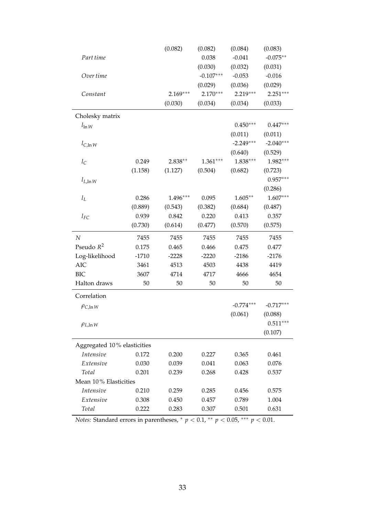|                             |         | (0.082)    | (0.082)     | (0.084)     | (0.083)     |
|-----------------------------|---------|------------|-------------|-------------|-------------|
| Part time                   |         |            | 0.038       | $-0.041$    | $-0.075**$  |
|                             |         |            | (0.030)     | (0.032)     | (0.031)     |
| Over time                   |         |            | $-0.107***$ | $-0.053$    | $-0.016$    |
|                             |         |            | (0.029)     | (0.036)     | (0.029)     |
| Constant                    |         | $2.169***$ | $2.170***$  | $2.219***$  | $2.251***$  |
|                             |         | (0.030)    | (0.034)     | (0.034)     | (0.033)     |
| Cholesky matrix             |         |            |             |             |             |
| $l_{\ln W}$                 |         |            |             | $0.450***$  | $0.447***$  |
|                             |         |            |             | (0.011)     | (0.011)     |
| $l_{\rm C, ln}$ W           |         |            |             | $-2.249***$ | $-2.040***$ |
|                             |         |            |             | (0.640)     | (0.529)     |
| $l_{\rm C}$                 | 0.249   | $2.838**$  | $1.361***$  | $1.838***$  | 1.982***    |
|                             | (1.158) | (1.127)    | (0.504)     | (0.682)     | (0.723)     |
| $l_{L,\ln W}$               |         |            |             |             | $0.957***$  |
|                             |         |            |             |             | (0.286)     |
| $l_L$                       | 0.286   | 1.496***   | 0.095       | $1.605**$   | $1.607***$  |
|                             | (0.889) | (0.543)    | (0.382)     | (0.684)     | (0.487)     |
| $l_{FC}$                    | 0.939   | 0.842      | 0.220       | 0.413       | 0.357       |
|                             | (0.730) | (0.614)    | (0.477)     | (0.570)     | (0.575)     |
| $\boldsymbol{N}$            | 7455    | 7455       | 7455        | 7455        | 7455        |
| Pseudo $R^2$                | 0.175   | 0.465      | 0.466       | 0.475       | 0.477       |
| Log-likelihood              | $-1710$ | $-2228$    | $-2220$     | $-2186$     | $-2176$     |
| <b>AIC</b>                  | 3461    | 4513       | 4503        | 4438        | 4419        |
|                             |         |            |             |             |             |
| <b>BIC</b>                  | 3607    | 4714       | 4717        | 4666        | 4654        |
| Halton draws                | 50      | 50         | 50          | 50          | 50          |
| Correlation                 |         |            |             |             |             |
| $\rho_{C,\ln W}$            |         |            |             | $-0.774***$ | $-0.717***$ |
|                             |         |            |             | (0.061)     | (0.088)     |
| $\rho_{L,\ln W}$            |         |            |             |             | $0.511***$  |
|                             |         |            |             |             | (0.107)     |
| Aggregated 10% elasticities |         |            |             |             |             |
| Intensive                   | 0.172   | 0.200      | 0.227       | 0.365       | 0.461       |
| Extensive                   | 0.030   | 0.039      | 0.041       | 0.063       | 0.076       |
| Total                       | 0.201   | 0.239      | 0.268       | 0.428       | 0.537       |
| Mean 10% Elasticities       |         |            |             |             |             |
| Intensive                   | 0.210   | 0.259      | 0.285       | 0.456       | 0.575       |
| Extensive                   | 0.308   | 0.450      | 0.457       | 0.789       | 1.004       |

*Notes:* Standard errors in parentheses,  $*$   $p$  < 0.1,  $*$   $*$   $p$  < 0.05,  $**$   $p$  < 0.01.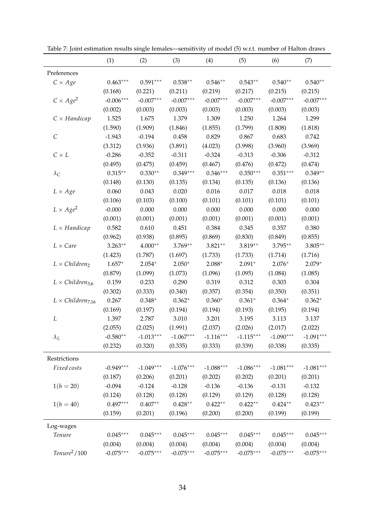|                            | (1)         | (2)         | (3)         | (4)         | (5)         | (6)         | (7)         |
|----------------------------|-------------|-------------|-------------|-------------|-------------|-------------|-------------|
| Preferences                |             |             |             |             |             |             |             |
| $C \times Age$             | $0.463***$  | $0.591***$  | $0.538**$   | $0.546**$   | $0.543**$   | $0.540**$   | $0.540**$   |
|                            | (0.168)     | (0.221)     | (0.211)     | (0.219)     | (0.217)     | (0.215)     | (0.215)     |
| $C \times Age^2$           | $-0.006***$ | $-0.007***$ | $-0.007***$ | $-0.007***$ | $-0.007***$ | $-0.007***$ | $-0.007***$ |
|                            | (0.002)     | (0.003)     | (0.003)     | (0.003)     | (0.003)     | (0.003)     | (0.003)     |
| $C \times Handicap$        | 1.525       | 1.675       | 1.379       | 1.309       | 1.250       | 1.264       | 1.299       |
|                            | (1.590)     | (1.909)     | (1.846)     | (1.855)     | (1.799)     | (1.808)     | (1.818)     |
| $\mathcal{C}$              | $-1.943$    | $-0.194$    | 0.458       | 0.829       | 0.867       | 0.683       | 0.742       |
|                            | (3.312)     | (3.936)     | (3.891)     | (4.023)     | (3.998)     | (3.960)     | (3.969)     |
| $C \times L$               | $-0.286$    | $-0.352$    | $-0.311$    | $-0.324$    | $-0.313$    | $-0.306$    | $-0.312$    |
|                            | (0.495)     | (0.475)     | (0.459)     | (0.467)     | (0.476)     | (0.472)     | (0.474)     |
| $\lambda_C$                | $0.315***$  | $0.330**$   | $0.349***$  | $0.346***$  | $0.350***$  | $0.351***$  | $0.349**$   |
|                            | (0.148)     | (0.130)     | (0.135)     | (0.134)     | (0.135)     | (0.136)     | (0.136)     |
| $L \times Age$             | 0.060       | 0.043       | 0.020       | 0.016       | 0.017       | 0.018       | 0.018       |
|                            | (0.106)     | (0.103)     | (0.100)     | (0.101)     | (0.101)     | (0.101)     | (0.101)     |
| $L \times Age^2$           | $-0.000$    | 0.000       | 0.000       | 0.000       | 0.000       | 0.000       | 0.000       |
|                            | (0.001)     | (0.001)     | (0.001)     | (0.001)     | (0.001)     | (0.001)     | (0.001)     |
| $L \times$ Handicap        | 0.582       | 0.610       | 0.451       | 0.384       | 0.345       | 0.357       | 0.380       |
|                            | (0.962)     | (0.938)     | (0.895)     | (0.869)     | (0.830)     | (0.849)     | (0.855)     |
| $L \times Care$            | $3.263**$   | $4.000**$   | $3.769**$   | $3.821**$   | $3.819**$   | $3.795***$  | $3.805**$   |
|                            | (1.423)     | (1.787)     | (1.697)     | (1.733)     | (1.733)     | (1.714)     | (1.716)     |
| $L \times Children_2$      | $1.657*$    | $2.054*$    | $2.050*$    | $2.088*$    | $2.091*$    | $2.076*$    | $2.079*$    |
|                            | (0.879)     | (1.099)     | (1.073)     | (1.096)     | (1.095)     | (1.084)     | (1.085)     |
| $L \times Children_{3.6}$  | 0.159       | 0.233       | 0.290       | 0.319       | 0.312       | 0.303       | 0.304       |
|                            | (0.302)     | (0.333)     | (0.340)     | (0.357)     | (0.354)     | (0.350)     | (0.351)     |
| $L \times Children_{7,16}$ | 0.267       | $0.348*$    | $0.362*$    | $0.360*$    | $0.361*$    | $0.364*$    | $0.362*$    |
|                            | (0.169)     | (0.197)     | (0.194)     | (0.194)     | (0.193)     | (0.195)     | (0.194)     |
| L                          | 1.397       | 2.787       | 3.010       | 3.201       | 3.195       | 3.113       | 3.137       |
|                            | (2.055)     | (2.025)     | (1.991)     | (2.037)     | (2.026)     | (2.017)     | (2.022)     |
| $\lambda_L$                | $-0.580**$  | $-1.013***$ | $-1.067***$ | $-1.116***$ | $-1.115***$ | $-1.090***$ | $-1.091***$ |
|                            | (0.232)     | (0.320)     | (0.335)     | (0.333)     | (0.339)     | (0.338)     | (0.335)     |
| Restrictions               |             |             |             |             |             |             |             |
| Fixed costs                | $-0.949***$ | $-1.049***$ | $-1.076***$ | $-1.088***$ | $-1.086***$ | $-1.081***$ | $-1.081***$ |
|                            | (0.187)     | (0.206)     | (0.201)     | (0.202)     | (0.202)     | (0.201)     | (0.201)     |
| $1(h = 20)$                | $-0.094$    | $-0.124$    | $-0.128$    | $-0.136$    | $-0.136$    | $-0.131$    | $-0.132$    |
|                            | (0.124)     | (0.128)     | (0.128)     | (0.129)     | (0.129)     | (0.128)     | (0.128)     |
| $1(h = 40)$                | $0.497***$  | $0.407**$   | $0.428**$   | $0.422**$   | $0.422**$   | $0.424**$   | $0.423**$   |
|                            | (0.159)     | (0.201)     | (0.196)     | (0.200)     | (0.200)     | (0.199)     | (0.199)     |
|                            |             |             |             |             |             |             |             |
| Log-wages                  |             |             |             |             |             |             |             |
| Tenure                     | $0.045***$  | $0.045***$  | $0.045***$  | $0.045***$  | $0.045***$  | $0.045***$  | $0.045***$  |
|                            | (0.004)     | (0.004)     | (0.004)     | (0.004)     | (0.004)     | (0.004)     | (0.004)     |
| $Tenure^2/100$             | $-0.075***$ | $-0.075***$ | $-0.075***$ | $-0.075***$ | $-0.075***$ | $-0.075***$ | $-0.075***$ |

<span id="page-35-0"></span>Table 7: Joint estimation results single females—sensitivity of model (5) w.r.t. number of Halton draws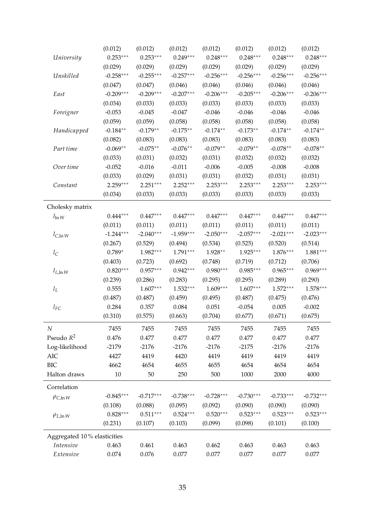|                             | (0.012)     | (0.012)     | (0.012)     | (0.012)     | (0.012)     | (0.012)     | (0.012)     |
|-----------------------------|-------------|-------------|-------------|-------------|-------------|-------------|-------------|
| University                  | $0.253***$  | $0.253***$  | $0.249***$  | $0.248***$  | $0.248***$  | $0.248***$  | $0.248***$  |
|                             | (0.029)     | (0.029)     | (0.029)     | (0.029)     | (0.029)     | (0.029)     | (0.029)     |
| Unskilled                   | $-0.258***$ | $-0.255***$ | $-0.257***$ | $-0.256***$ | $-0.256***$ | $-0.256***$ | $-0.256***$ |
|                             | (0.047)     | (0.047)     | (0.046)     | (0.046)     | (0.046)     | (0.046)     | (0.046)     |
| East                        | $-0.209***$ | $-0.209***$ | $-0.207***$ | $-0.206***$ | $-0.205***$ | $-0.206***$ | $-0.206***$ |
|                             | (0.034)     | (0.033)     | (0.033)     | (0.033)     | (0.033)     | (0.033)     | (0.033)     |
| Foreigner                   | $-0.053$    | $-0.045$    | $-0.047$    | $-0.046$    | $-0.046$    | $-0.046$    | $-0.046$    |
|                             | (0.059)     | (0.059)     | (0.058)     | (0.058)     | (0.058)     | (0.058)     | (0.058)     |
| Handicapped                 | $-0.184**$  | $-0.179**$  | $-0.175**$  | $-0.174**$  | $-0.173**$  | $-0.174**$  | $-0.174**$  |
|                             | (0.082)     | (0.083)     | (0.083)     | (0.083)     | (0.083)     | (0.083)     | (0.083)     |
| Part time                   | $-0.069**$  | $-0.075**$  | $-0.076**$  | $-0.079**$  | $-0.079**$  | $-0.078**$  | $-0.078**$  |
|                             | (0.033)     | (0.031)     | (0.032)     | (0.031)     | (0.032)     | (0.032)     | (0.032)     |
| Over time                   | $-0.052$    | $-0.016$    | $-0.011$    | $-0.006$    | $-0.005$    | $-0.008$    | $-0.008$    |
|                             | (0.033)     | (0.029)     | (0.031)     | (0.031)     | (0.032)     | (0.031)     | (0.031)     |
| Constant                    | $2.259***$  | $2.251***$  | $2.252***$  | $2.253***$  | $2.253***$  | $2.253***$  | $2.253***$  |
|                             | (0.034)     | (0.033)     | (0.033)     | (0.033)     | (0.033)     | (0.033)     | (0.033)     |
| Cholesky matrix             |             |             |             |             |             |             |             |
| $l_{\ln W}$                 | $0.444***$  | $0.447***$  | $0.447***$  | $0.447***$  | $0.447***$  | $0.447***$  | $0.447***$  |
|                             | (0.011)     | (0.011)     | (0.011)     | (0.011)     | (0.011)     | (0.011)     | (0.011)     |
| $l_{C,\ln W}$               | $-1.244***$ | $-2.040***$ | $-1.959***$ | $-2.050***$ | $-2.057***$ | $-2.021***$ | $-2.023***$ |
|                             | (0.267)     | (0.529)     | (0.494)     | (0.534)     | (0.525)     | (0.520)     | (0.514)     |
| $l_{\rm C}$                 | $0.789*$    | $1.982***$  | $1.791***$  | $1.928**$   | $1.925***$  | $1.876***$  | $1.881***$  |
|                             | (0.403)     | (0.723)     | (0.692)     | (0.748)     | (0.719)     | (0.712)     | (0.706)     |
| $l_{L,\ln W}$               | $0.820***$  | $0.957***$  | $0.942***$  | $0.980***$  | $0.985***$  | $0.965***$  | $0.969***$  |
|                             | (0.239)     | (0.286)     | (0.283)     | (0.295)     | (0.295)     | (0.289)     | (0.290)     |
| $l_L$                       | 0.555       | $1.607***$  | $1.532***$  | $1.609***$  | $1.607***$  | $1.572***$  | $1.578***$  |
|                             | (0.487)     | (0.487)     | (0.459)     | (0.495)     | (0.487)     | (0.475)     | (0.476)     |
| $l_{FC}$                    | 0.284       | 0.357       | 0.084       | 0.051       | $-0.054$    | 0.005       | $-0.002$    |
|                             | (0.310)     | (0.575)     | (0.663)     | (0.704)     | (0.677)     | (0.671)     | (0.675)     |
| $\cal N$                    | 7455        | 7455        | 7455        | 7455        | 7455        | 7455        | 7455        |
| Pseudo $R^2$                | 0.476       | 0.477       | 0.477       | 0.477       | 0.477       | 0.477       | 0.477       |
| Log-likelihood              | $-2179$     | $-2176$     | $-2176$     | $-2176$     | $-2175$     | $-2176$     | $-2176$     |
| AIC                         | 4427        | 4419        | 4420        | 4419        | 4419        | 4419        | 4419        |
| <b>BIC</b>                  | 4662        | 4654        | 4655        | 4655        | 4654        | 4654        | 4654        |
| Halton draws                | 10          | 50          | 250         | 500         | 1000        | 2000        | 4000        |
| Correlation                 |             |             |             |             |             |             |             |
| $\rho_{C,\ln W}$            | $-0.845***$ | $-0.717***$ | $-0.738***$ | $-0.728***$ | $-0.730***$ | $-0.733***$ | $-0.732***$ |
|                             | (0.108)     | (0.088)     | (0.095)     | (0.092)     | (0.090)     | (0.090)     | (0.090)     |
| $\rho_{L,\ln W}$            | $0.828***$  | $0.511***$  | $0.524***$  | $0.520***$  | $0.523***$  | $0.523***$  | $0.523***$  |
|                             | (0.231)     | (0.107)     | (0.103)     | (0.099)     | (0.098)     | (0.101)     | (0.100)     |
| Aggregated 10% elasticities |             |             |             |             |             |             |             |
| Intensive                   | 0.463       | 0.461       | 0.463       | 0.462       | 0.463       | 0.463       | 0.463       |
| Extensive                   | 0.074       | 0.076       | 0.077       | 0.077       | 0.077       | 0.077       | 0.077       |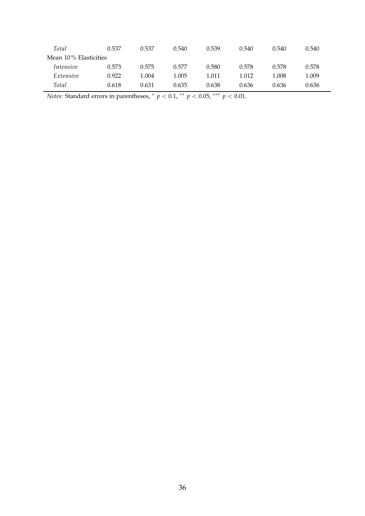| Total                 | 0.537 | 0.537 | 0.540 | 0.539 | 0.540 | 0.540 | 0.540 |
|-----------------------|-------|-------|-------|-------|-------|-------|-------|
| Mean 10% Elasticities |       |       |       |       |       |       |       |
| <i>Intensive</i>      | 0.573 | 0.575 | 0.577 | 0.580 | 0.578 | 0.578 | 0.578 |
| Extensive             | 0.922 | 1.004 | 1.005 | 1.011 | 1.012 | 1.008 | 1.009 |
| Total                 | 0.618 | 0.631 | 0.635 | 0.638 | 0.636 | 0.636 | 0.636 |

*Notes:* Standard errors in parentheses,  $*$   $p < 0.1$ ,  $**$   $p < 0.05$ ,  $***$   $p < 0.01$ .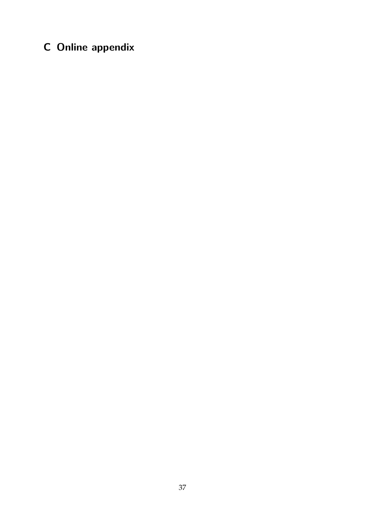# **C Online appendix**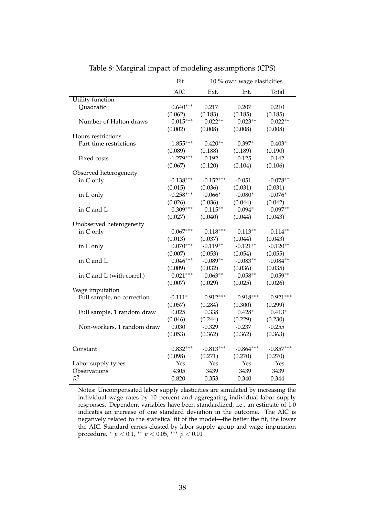|                            | Fit         | 10 % own wage elasticities |             |             |
|----------------------------|-------------|----------------------------|-------------|-------------|
|                            | <b>AIC</b>  | Ext.                       | Int.        | Total       |
| <b>Utility</b> function    |             |                            |             |             |
| Quadratic                  | $0.640***$  | 0.217                      | 0.207       | 0.210       |
|                            | (0.062)     | (0.183)                    | (0.185)     | (0.185)     |
| Number of Halton draws     | $-0.015***$ | $0.022**$                  | $0.023**$   | $0.022**$   |
|                            | (0.002)     | (0.008)                    | (0.008)     | (0.008)     |
| Hours restrictions         |             |                            |             |             |
| Part-time restrictions     | $-1.855***$ | $0.420**$                  | $0.397*$    | $0.403*$    |
|                            | (0.089)     | (0.188)                    | (0.189)     | (0.190)     |
| Fixed costs                | $-1.279***$ | 0.192                      | 0.125       | 0.142       |
|                            | (0.067)     | (0.120)                    | (0.104)     | (0.106)     |
| Observed heterogeneity     |             |                            |             |             |
| in C only                  | $-0.138***$ | $-0.152***$                | $-0.051$    | $-0.078**$  |
|                            | (0.015)     | (0.036)                    | (0.031)     | (0.031)     |
| in L only                  | $-0.258***$ | $-0.066*$                  | $-0.080*$   | $-0.076*$   |
|                            | (0.026)     | (0.036)                    | (0.044)     | (0.042)     |
| in C and L                 | $-0.309***$ | $-0.115**$                 | $-0.094*$   | $-0.097**$  |
|                            | (0.027)     | (0.040)                    | (0.044)     | (0.043)     |
| Unobserved heterogeneity   |             |                            |             |             |
| in C only                  | $0.067***$  | $-0.118***$                | $-0.113**$  | $-0.114**$  |
|                            | (0.013)     | (0.037)                    | (0.044)     | (0.043)     |
| in L only                  | $0.070***$  | $-0.119**$                 | $-0.121**$  | $-0.120**$  |
|                            | (0.007)     | (0.053)                    | (0.054)     | (0.055)     |
| in C and L                 | $0.046***$  | $-0.089**$                 | $-0.083**$  | $-0.084**$  |
|                            | (0.009)     | (0.032)                    | (0.036)     | (0.035)     |
| in C and L (with correl.)  | $0.021***$  | $-0.063**$                 | $-0.058**$  | $-0.059**$  |
|                            | (0.007)     | (0.029)                    | (0.025)     | (0.026)     |
| Wage imputation            |             |                            |             |             |
| Full sample, no correction | $-0.111*$   | $0.912***$                 | $0.918***$  | $0.921***$  |
|                            | (0.057)     | (0.284)                    | (0.300)     | (0.299)     |
| Full sample, 1 random draw | 0.025       | 0.338                      | $0.428*$    | $0.413*$    |
|                            | (0.046)     | (0.244)                    | (0.229)     | (0.230)     |
| Non-workers, 1 random draw | 0.030       | $-0.329$                   | $-0.237$    | $-0.255$    |
|                            | (0.053)     | (0.362)                    | (0.362)     | (0.363)     |
|                            |             |                            |             |             |
| Constant                   | $0.832***$  | $-0.813***$                | $-0.864***$ | $-0.857***$ |
|                            | (0.098)     | (0.271)                    | (0.270)     | (0.270)     |
| Labor supply types         | Yes         | Yes                        | Yes         | Yes         |
| Observations               | 4305        | 3439                       | 3439        | 3439        |
| $R^2$                      | 0.820       | 0.353                      | 0.340       | 0.344       |

<span id="page-39-0"></span>Table 8: Marginal impact of modeling assumptions (CPS)

Notes: Uncompensated labor supply elasticities are simulated by increasing the individual wage rates by 10 percent and aggregating individual labor supply responses. Dependent variables have been standardized, i.e., an estimate of 1.0 indicates an increase of one standard deviation in the outcome. The AIC is negatively related to the statistical fit of the model—the better the fit, the lower the AIC. Standard errors clusted by labor supply group and wage imputation procedure. <sup>∗</sup> *p* < 0.1, ∗∗ *p* < 0.05, ∗∗∗ *p* < 0.01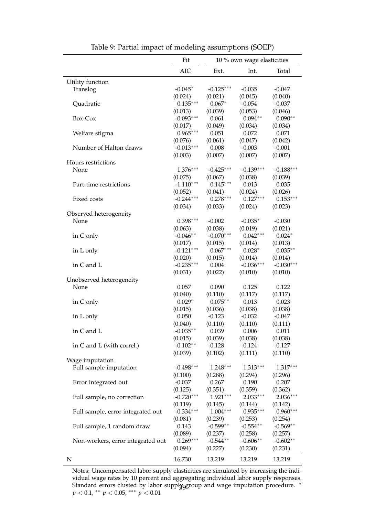|                                   | Fit         | 10 % own wage elasticities |             |             |
|-----------------------------------|-------------|----------------------------|-------------|-------------|
|                                   | <b>AIC</b>  | Ext.                       | Int.        | Total       |
| Utility function                  |             |                            |             |             |
| Translog                          | $-0.045*$   | $-0.125***$                | $-0.035$    | $-0.047$    |
|                                   | (0.024)     | (0.021)                    | (0.045)     | (0.040)     |
| Quadratic                         | $0.135***$  | $0.067*$                   | $-0.054$    | $-0.037$    |
|                                   | (0.013)     | (0.039)                    | (0.053)     | (0.046)     |
| Box-Cox                           | $-0.093***$ | 0.061                      | $0.094**$   | $0.090**$   |
|                                   | (0.017)     | (0.049)                    | (0.034)     | (0.034)     |
| Welfare stigma                    | $0.965***$  | 0.051                      | 0.072       | 0.071       |
|                                   | (0.076)     | (0.061)                    | (0.047)     | (0.042)     |
| Number of Halton draws            | $-0.013***$ | 0.008                      | $-0.003$    | $-0.001$    |
|                                   | (0.003)     | (0.007)                    | (0.007)     | (0.007)     |
| Hours restrictions                |             |                            |             |             |
| None                              | $1.376***$  | $-0.425***$                | $-0.139***$ | $-0.188***$ |
|                                   | (0.075)     | (0.067)                    | (0.038)     | (0.039)     |
| Part-time restrictions            | $-1.110***$ | $0.145***$                 | 0.013       | 0.035       |
|                                   | (0.052)     | (0.041)                    | (0.024)     | (0.026)     |
| Fixed costs                       | $-0.244***$ | $0.278***$                 | $0.127***$  | $0.153***$  |
|                                   | (0.034)     | (0.033)                    | (0.024)     | (0.023)     |
| Observed heterogeneity            |             |                            |             |             |
| None                              | $0.398***$  | $-0.002$                   | $-0.035*$   | $-0.030$    |
|                                   | (0.063)     | (0.038)                    | (0.019)     | (0.021)     |
| in C only                         | $-0.046**$  | $-0.070***$                | $0.042***$  | $0.024*$    |
|                                   | (0.017)     | (0.015)                    | (0.014)     | (0.013)     |
| in L only                         | $-0.121***$ | $0.067***$                 | $0.028*$    | $0.035**$   |
|                                   | (0.020)     | (0.015)                    | (0.014)     | (0.014)     |
| in C and L                        | $-0.235***$ | 0.004                      | $-0.036***$ | $-0.030***$ |
|                                   | (0.031)     | (0.022)                    | (0.010)     | (0.010)     |
| Unobserved heterogeneity          |             |                            |             |             |
| None                              | 0.057       | 0.090                      | 0.125       | 0.122       |
|                                   | (0.040)     | (0.110)                    | (0.117)     | (0.117)     |
| in C only                         | $0.029*$    | $0.075**$                  | 0.013       | 0.023       |
|                                   | (0.015)     | (0.036)                    | (0.038)     | (0.038)     |
| in L only                         | 0.050       | $-0.123$                   | $-0.032$    | $-0.047$    |
|                                   | (0.040)     | (0.110)                    | (0.110)     | (0.111)     |
| in C and L                        | $-0.035**$  | 0.039                      | 0.006       | 0.011       |
|                                   | (0.015)     | (0.039)                    | (0.038)     | (0.038)     |
| in C and L (with correl.)         | $-0.102**$  | $-0.128$                   | $-0.124$    | $-0.127$    |
|                                   | (0.039)     | (0.102)                    | (0.111)     | (0.110)     |
| Wage imputation                   |             |                            |             |             |
| Full sample imputation            | $-0.498***$ | $1.248***$                 | $1.313***$  | 1.317***    |
|                                   | (0.100)     | (0.288)                    | (0.294)     | (0.296)     |
| Error integrated out              | $-0.037$    | 0.267                      | 0.190       | 0.207       |
|                                   | (0.125)     | (0.351)                    | (0.359)     | (0.362)     |
| Full sample, no correction        | $-0.720***$ | $1.921***$                 | $2.033***$  | $2.036***$  |
|                                   | (0.119)     |                            | (0.144)     | (0.142)     |
| Full sample, error integrated out | $-0.334***$ | (0.145)<br>$1.004***$      | $0.935***$  | $0.960***$  |
|                                   | (0.081)     | (0.239)                    | (0.253)     | (0.254)     |
|                                   | 0.143       | $-0.599**$                 | $-0.554**$  | $-0.569**$  |
| Full sample, 1 random draw        | (0.089)     | (0.237)                    | (0.258)     | (0.257)     |
| Non-workers, error integrated out | $0.269***$  | $-0.544**$                 | $-0.606**$  | $-0.602**$  |
|                                   | (0.094)     | (0.227)                    | (0.230)     | (0.231)     |
|                                   |             |                            |             |             |
| N                                 | 16,730      | 13,219                     | 13,219      | 13,219      |

<span id="page-40-0"></span>Table 9: Partial impact of modeling assumptions (SOEP)

Notes: Uncompensated labor supply elasticities are simulated by increasing the individual wage rates by 10 percent and aggregating individual labor supply responses. Standard errors clusted by labor supply group and wage imputation procedure. <sup>\*</sup> *p* < 0.1, ∗∗ *p* < 0.05, ∗∗∗ *p* < 0.01 39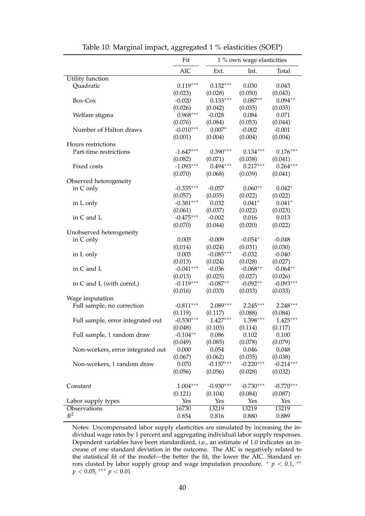|                                   | Fit                    | 1 % own wage elasticities |             |                     |
|-----------------------------------|------------------------|---------------------------|-------------|---------------------|
|                                   | <b>AIC</b>             | Ext.                      | Int.        | Total               |
| Utility function                  |                        |                           |             |                     |
| Quadratic                         | $0.119***$             | $0.132***$                | 0.030       | 0.043               |
|                                   | (0.023)                | (0.028)                   | (0.050)     | (0.043)             |
| Box-Cox                           | $-0.020$               | $0.133***$                | $0.087**$   | $0.094**$           |
|                                   | (0.026)                | (0.042)                   | (0.035)     | (0.035)             |
| Welfare stigma                    | $0.968***$             | $-0.028$                  | 0.084       | 0.071               |
|                                   | (0.076)                | (0.084)                   | (0.053)     | (0.044)             |
| Number of Halton draws            | $-0.010***$            | $0.007*$                  | $-0.002$    | $-0.001$            |
|                                   | (0.001)                | (0.004)                   | (0.004)     | (0.004)             |
| Hours restrictions                |                        |                           |             |                     |
| Part-time restrictions            | $-1.647***$            | $0.390***$                | $0.134***$  | $0.176***$          |
|                                   | (0.082)                | (0.071)                   | (0.038)     | (0.041)             |
| Fixed costs                       | $-1.093***$            | $0.494***$                | $0.217***$  | $0.264***$          |
|                                   | (0.070)                | (0.068)                   | (0.039)     | (0.041)             |
| Observed heterogeneity            |                        |                           |             |                     |
| in C only                         | $-0.335***$            | $-0.057$                  | $0.060**$   | $0.042*$            |
|                                   |                        |                           |             |                     |
|                                   | (0.057)<br>$-0.381***$ | (0.035)                   | (0.022)     | (0.022)<br>$0.041*$ |
| in L only                         |                        | 0.032                     | $0.041*$    |                     |
|                                   | (0.061)                | (0.037)                   | (0.022)     | (0.023)             |
| in C and L                        | $-0.475***$            | $-0.002$                  | 0.016       | 0.013               |
|                                   | (0.070)                | (0.044)                   | (0.020)     | (0.022)             |
| Unobserved heterogeneity          |                        |                           |             |                     |
| in C only                         | 0.005                  | $-0.009$                  | $-0.054*$   | $-0.048$            |
|                                   | (0.014)                | (0.024)                   | (0.031)     | (0.030)             |
| in L only                         | 0.005                  | $-0.085***$               | $-0.032$    | $-0.040$            |
|                                   | (0.013)                | (0.024)                   | (0.028)     | (0.027)             |
| in C and L                        | $-0.041***$            | $-0.036$                  | $-0.068**$  | $-0.064**$          |
|                                   | (0.013)                | (0.025)                   | (0.027)     | (0.026)             |
| in C and L (with correl.)         | $-0.119***$            | $-0.087**$                | $-0.092**$  | $-0.093***$         |
|                                   | (0.016)                | (0.033)                   | (0.033)     | (0.033)             |
| Wage imputation                   |                        |                           |             |                     |
| Full sample, no correction        | $-0.811***$            | 2.089***                  | $2.245***$  | $2.248***$          |
|                                   | (0.119)                | (0.117)                   | (0.088)     | (0.084)             |
| Full sample, error integrated out | $-0.530***$            | $1.427***$                | $1.398***$  | $1.425***$          |
|                                   | (0.048)                | (0.103)                   | (0.114)     | (0.117)             |
| Full sample, 1 random draw        | $-0.104**$             | 0.086                     | 0.102       | 0.100               |
|                                   | (0.049)                | (0.085)                   | (0.078)     | (0.079)             |
| Non-workers, error integrated out | 0.000                  | 0.054                     | 0.046       | 0.048               |
|                                   | (0.067)                | (0.062)                   | (0.035)     | (0.038)             |
| Non-workers, 1 random draw        | 0.070                  | $-0.157***$               | $-0.220***$ | $-0.214***$         |
|                                   | (0.056)                | (0.056)                   | (0.028)     | (0.032)             |
|                                   |                        |                           |             |                     |
| Constant                          | $1.004***$             | $-0.930***$               | $-0.730***$ | $-0.770***$         |
|                                   | (0.121)                | (0.104)                   | (0.084)     | (0.087)             |
| Labor supply types                | Yes                    | Yes                       | Yes         | Yes                 |
| Observations                      | 16730                  | 13219                     | 13219       | 13219               |
| $R^2$                             | 0.854                  | 0.816                     | 0.880       | 0.889               |
|                                   |                        |                           |             |                     |

<span id="page-41-0"></span>Table 10: Marginal impact, aggregated 1 % elasticities (SOEP)

Notes: Uncompensated labor supply elasticities are simulated by increasing the individual wage rates by 1 percent and aggregating individual labor supply responses. Dependent variables have been standardized, i.e., an estimate of 1.0 indicates an increase of one standard deviation in the outcome. The AIC is negatively related to the statistical fit of the model—the better the fit, the lower the AIC. Standard errors clusted by labor supply group and wage imputation procedure.  $*$   $p$  < 0.1,  $**$ *p* < 0.05, ∗∗∗ *p* < 0.01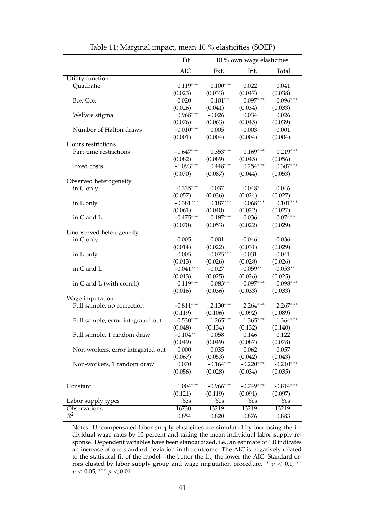|                                   | Fit         | 10 % own wage elasticities |             |             |
|-----------------------------------|-------------|----------------------------|-------------|-------------|
|                                   | <b>AIC</b>  | Ext.                       | Int.        | Total       |
| Utility function                  |             |                            |             |             |
| Quadratic                         | $0.119***$  | $0.100***$                 | 0.022       | 0.041       |
|                                   | (0.023)     | (0.033)                    | (0.047)     | (0.038)     |
| Box-Cox                           | $-0.020$    | $0.101**$                  | $0.097***$  | $0.096***$  |
|                                   | (0.026)     | (0.041)                    | (0.034)     | (0.033)     |
| Welfare stigma                    | $0.968***$  | $-0.026$                   | 0.034       | 0.026       |
|                                   | (0.076)     | (0.063)                    | (0.045)     | (0.039)     |
| Number of Halton draws            | $-0.010***$ | 0.005                      | $-0.003$    | $-0.001$    |
|                                   | (0.001)     | (0.004)                    | (0.004)     | (0.004)     |
| Hours restrictions                |             |                            |             |             |
| Part-time restrictions            | $-1.647***$ | $0.353***$                 | $0.169***$  | $0.219***$  |
|                                   | (0.082)     | (0.089)                    | (0.045)     | (0.056)     |
| Fixed costs                       | $-1.093***$ | $0.448***$                 | $0.254***$  | $0.307***$  |
|                                   | (0.070)     | (0.087)                    | (0.044)     | (0.053)     |
|                                   |             |                            |             |             |
| Observed heterogeneity            | $-0.335***$ | 0.037                      | $0.048*$    | 0.046       |
| in C only                         |             |                            |             |             |
|                                   | (0.057)     | (0.036)<br>$0.187***$      | (0.024)     | (0.027)     |
| in L only                         | $-0.381***$ |                            | $0.068***$  | $0.101***$  |
|                                   | (0.061)     | (0.040)                    | (0.022)     | (0.027)     |
| in C and L                        | $-0.475***$ | $0.187***$                 | 0.036       | $0.074**$   |
|                                   | (0.070)     | (0.053)                    | (0.022)     | (0.029)     |
| Unobserved heterogeneity          |             |                            |             |             |
| in C only                         | 0.005       | 0.001                      | $-0.046$    | $-0.036$    |
|                                   | (0.014)     | (0.022)                    | (0.031)     | (0.029)     |
| in L only                         | 0.005       | $-0.075***$                | $-0.031$    | $-0.041$    |
|                                   | (0.013)     | (0.026)                    | (0.028)     | (0.026)     |
| in C and L                        | $-0.041***$ | $-0.027$                   | $-0.059**$  | $-0.053**$  |
|                                   | (0.013)     | (0.025)                    | (0.026)     | (0.025)     |
| in C and L (with correl.)         | $-0.119***$ | $-0.083**$                 | $-0.097***$ | $-0.098***$ |
|                                   | (0.016)     | (0.036)                    | (0.033)     | (0.033)     |
| Wage imputation                   |             |                            |             |             |
| Full sample, no correction        | $-0.811***$ | $2.130***$                 | $2.264***$  | $2.267***$  |
|                                   | (0.119)     | (0.106)                    | (0.092)     | (0.089)     |
| Full sample, error integrated out | $-0.530***$ | $1.265***$                 | $1.365***$  | $1.364***$  |
|                                   | (0.048)     | (0.134)                    | (0.132)     | (0.140)     |
| Full sample, 1 random draw        | $-0.104**$  | 0.058                      | 0.146       | 0.122       |
|                                   | (0.049)     | (0.049)                    | (0.087)     | (0.078)     |
| Non-workers, error integrated out | 0.000       | 0.035                      | 0.062       | 0.057       |
|                                   | (0.067)     | (0.053)                    | (0.042)     | (0.043)     |
| Non-workers, 1 random draw        | 0.070       | $-0.164***$                | $-0.220***$ | $-0.210***$ |
|                                   | (0.056)     | (0.028)                    | (0.034)     | (0.035)     |
|                                   |             |                            |             |             |
| Constant                          | $1.004***$  | $-0.966***$                | $-0.749***$ | $-0.814***$ |
|                                   | (0.121)     | (0.119)                    | (0.091)     | (0.097)     |
| Labor supply types                | Yes         | Yes                        | Yes         | Yes         |
| Observations                      | 16730       | 13219                      | 13219       | 13219       |
| $R^2$                             | 0.854       | 0.820                      | 0.876       | 0.883       |

<span id="page-42-0"></span>Table 11: Marginal impact, mean 10 % elasticities (SOEP)

Notes: Uncompensated labor supply elasticities are simulated by increasing the individual wage rates by 10 percent and taking the mean individual labor supply response. Dependent variables have been standardized, i.e., an estimate of 1.0 indicates an increase of one standard deviation in the outcome. The AIC is negatively related to the statistical fit of the model—the better the fit, the lower the AIC. Standard errors clusted by labor supply group and wage imputation procedure.  $*$   $p$  < 0.1,  $**$ *p* < 0.05, ∗∗∗ *p* < 0.01